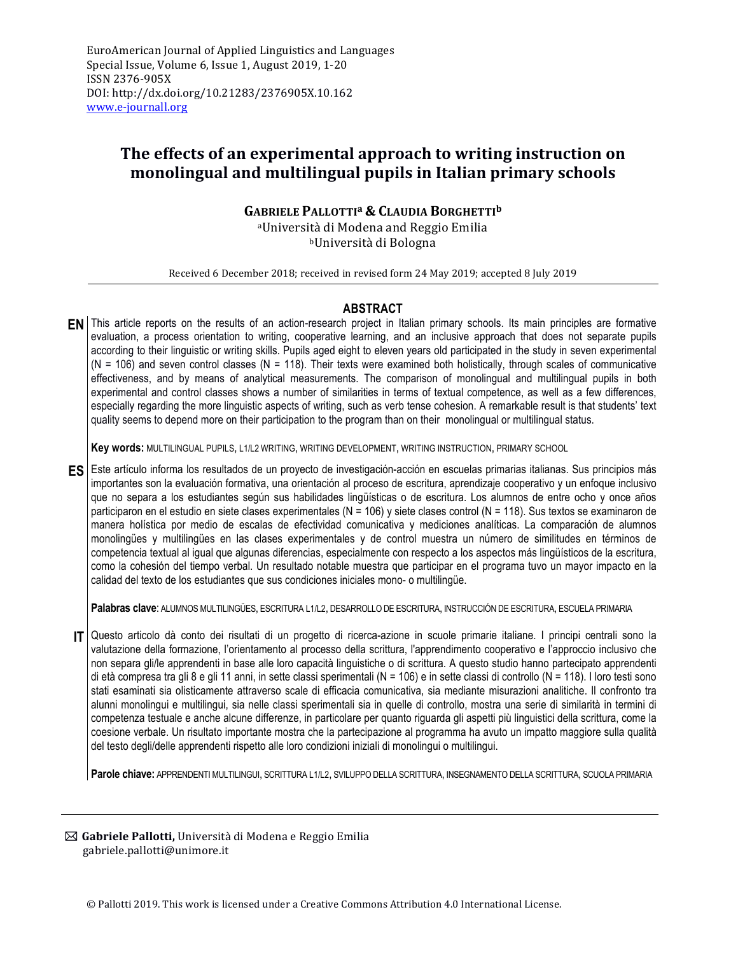# **The effects of an experimental approach to writing instruction on monolingual and multilingual pupils in Italian primary schools**

# **GABRIELE PALLOTTIa & CLAUDIA BORGHETTIb**

<sup>a</sup>Università di Modena and Reggio Emilia bUniversità di Bologna

Received 6 December 2018; received in revised form 24 May 2019; accepted 8 July 2019

# **ABSTRACT**

**EN** This article reports on the results of an action-research project in Italian primary schools. Its main principles are formative evaluation, a process orientation to writing, cooperative learning, and an inclusive approach that does not separate pupils according to their linguistic or writing skills. Pupils aged eight to eleven years old participated in the study in seven experimental  $(N = 106)$  and seven control classes  $(N = 118)$ . Their texts were examined both holistically, through scales of communicative effectiveness, and by means of analytical measurements. The comparison of monolingual and multilingual pupils in both experimental and control classes shows a number of similarities in terms of textual competence, as well as a few differences, especially regarding the more linguistic aspects of writing, such as verb tense cohesion. A remarkable result is that students' text quality seems to depend more on their participation to the program than on their monolingual or multilingual status.

**Key words:** MULTILINGUAL PUPILS, L1/L2 WRITING, WRITING DEVELOPMENT, WRITING INSTRUCTION, PRIMARY SCHOOL

**ES** Este artículo informa los resultados de un proyecto de investigación-acción en escuelas primarias italianas. Sus principios más importantes son la evaluación formativa, una orientación al proceso de escritura, aprendizaje cooperativo y un enfoque inclusivo que no separa a los estudiantes según sus habilidades lingüísticas o de escritura. Los alumnos de entre ocho y once años participaron en el estudio en siete clases experimentales (N = 106) y siete clases control (N = 118). Sus textos se examinaron de manera holística por medio de escalas de efectividad comunicativa y mediciones analíticas. La comparación de alumnos monolingües y multilingües en las clases experimentales y de control muestra un número de similitudes en términos de competencia textual al igual que algunas diferencias, especialmente con respecto a los aspectos más lingüísticos de la escritura, como la cohesión del tiempo verbal. Un resultado notable muestra que participar en el programa tuvo un mayor impacto en la calidad del texto de los estudiantes que sus condiciones iniciales mono- o multilingüe.

**Palabras clave**: ALUMNOS MULTILINGÜES, ESCRITURA L1/L2, DESARROLLO DE ESCRITURA, INSTRUCCIÓN DE ESCRITURA, ESCUELA PRIMARIA

**IT** Questo articolo dà conto dei risultati di un progetto di ricerca-azione in scuole primarie italiane. I principi centrali sono la valutazione della formazione, l'orientamento al processo della scrittura, l'apprendimento cooperativo e l'approccio inclusivo che non separa gli/le apprendenti in base alle loro capacità linguistiche o di scrittura. A questo studio hanno partecipato apprendenti di età compresa tra gli 8 e gli 11 anni, in sette classi sperimentali (N = 106) e in sette classi di controllo (N = 118). I loro testi sono stati esaminati sia olisticamente attraverso scale di efficacia comunicativa, sia mediante misurazioni analitiche. Il confronto tra alunni monolingui e multilingui, sia nelle classi sperimentali sia in quelle di controllo, mostra una serie di similarità in termini di competenza testuale e anche alcune differenze, in particolare per quanto riguarda gli aspetti più linguistici della scrittura, come la coesione verbale. Un risultato importante mostra che la partecipazione al programma ha avuto un impatto maggiore sulla qualità del testo degli/delle apprendenti rispetto alle loro condizioni iniziali di monolingui o multilingui.

**Parole chiave:** APPRENDENTI MULTILINGUI, SCRITTURA L1/L2, SVILUPPO DELLA SCRITTURA, INSEGNAMENTO DELLA SCRITTURA, SCUOLA PRIMARIA

**⊠ Gabriele Pallotti,** Università di Modena e Reggio Emilia gabriele.pallotti@unimore.it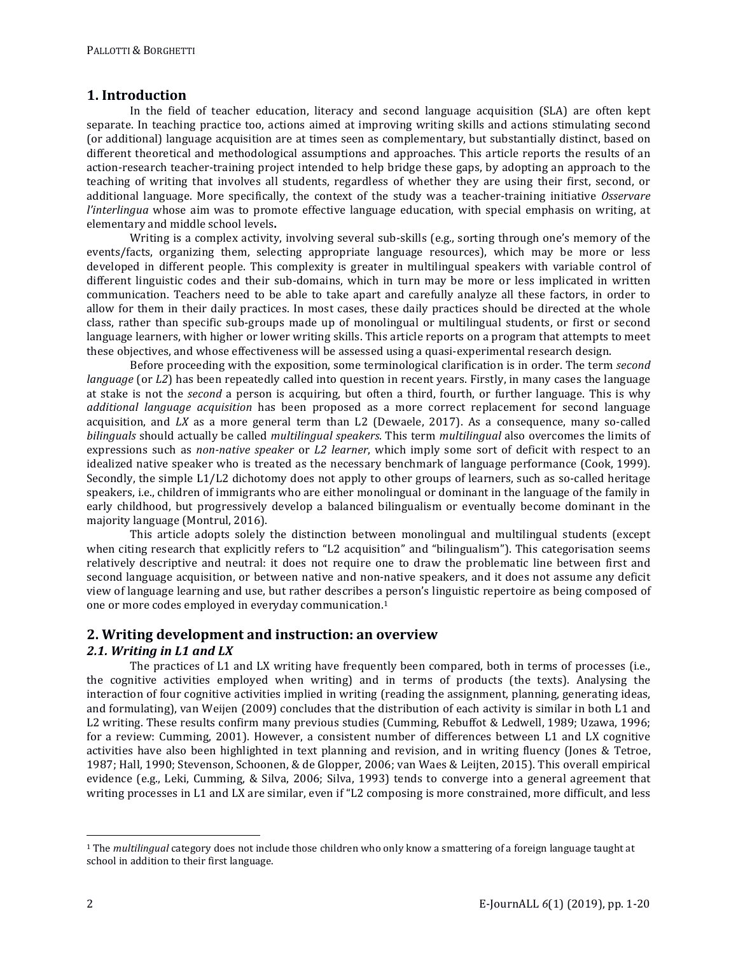# **1. Introduction**

In the field of teacher education, literacy and second language acquisition (SLA) are often kept separate. In teaching practice too, actions aimed at improving writing skills and actions stimulating second (or additional) language acquisition are at times seen as complementary, but substantially distinct, based on different theoretical and methodological assumptions and approaches. This article reports the results of an action-research teacher-training project intended to help bridge these gaps, by adopting an approach to the teaching of writing that involves all students, regardless of whether they are using their first, second, or additional language. More specifically, the context of the study was a teacher-training initiative *Osservare l'interlingua* whose aim was to promote effective language education, with special emphasis on writing, at elementary and middle school levels.

Writing is a complex activity, involving several sub-skills (e.g., sorting through one's memory of the events/facts, organizing them, selecting appropriate language resources), which may be more or less developed in different people. This complexity is greater in multilingual speakers with variable control of different linguistic codes and their sub-domains, which in turn may be more or less implicated in written communication. Teachers need to be able to take apart and carefully analyze all these factors, in order to allow for them in their daily practices. In most cases, these daily practices should be directed at the whole class, rather than specific sub-groups made up of monolingual or multilingual students, or first or second language learners, with higher or lower writing skills. This article reports on a program that attempts to meet these objectives, and whose effectiveness will be assessed using a quasi-experimental research design.

Before proceeding with the exposition, some terminological clarification is in order. The term *second language* (or *L2*) has been repeatedly called into question in recent years. Firstly, in many cases the language at stake is not the *second* a person is acquiring, but often a third, fourth, or further language. This is why *additional language acquisition* has been proposed as a more correct replacement for second language acquisition, and  $LX$  as a more general term than  $L2$  (Dewaele, 2017). As a consequence, many so-called *bilinguals* should actually be called *multilingual speakers*. This term *multilingual* also overcomes the limits of expressions such as *non-native speaker* or *L2 learner*, which imply some sort of deficit with respect to an idealized native speaker who is treated as the necessary benchmark of language performance (Cook, 1999). Secondly, the simple  $L1/L2$  dichotomy does not apply to other groups of learners, such as so-called heritage speakers, i.e., children of immigrants who are either monolingual or dominant in the language of the family in early childhood, but progressively develop a balanced bilingualism or eventually become dominant in the majority language (Montrul, 2016).

This article adopts solely the distinction between monolingual and multilingual students (except when citing research that explicitly refers to "L2 acquisition" and "bilingualism"). This categorisation seems relatively descriptive and neutral: it does not require one to draw the problematic line between first and second language acquisition, or between native and non-native speakers, and it does not assume any deficit view of language learning and use, but rather describes a person's linguistic repertoire as being composed of one or more codes employed in everyday communication.<sup>1</sup>

# **2. Writing development and instruction: an overview**

# 2.1. *Writing in L1 and LX*

The practices of L1 and LX writing have frequently been compared, both in terms of processes (i.e., the cognitive activities employed when writing) and in terms of products (the texts). Analysing the interaction of four cognitive activities implied in writing (reading the assignment, planning, generating ideas, and formulating), van Weijen (2009) concludes that the distribution of each activity is similar in both L1 and L2 writing. These results confirm many previous studies (Cumming, Rebuffot & Ledwell, 1989; Uzawa, 1996; for a review: Cumming, 2001). However, a consistent number of differences between L1 and LX cognitive activities have also been highlighted in text planning and revision, and in writing fluency (Jones & Tetroe, 1987; Hall, 1990; Stevenson, Schoonen, & de Glopper, 2006; van Waes & Leijten, 2015). This overall empirical evidence (e.g., Leki, Cumming, & Silva, 2006; Silva, 1993) tends to converge into a general agreement that writing processes in L1 and LX are similar, even if "L2 composing is more constrained, more difficult, and less

 $\overline{a}$ 

<sup>&</sup>lt;sup>1</sup> The *multilingual* category does not include those children who only know a smattering of a foreign language taught at school in addition to their first language.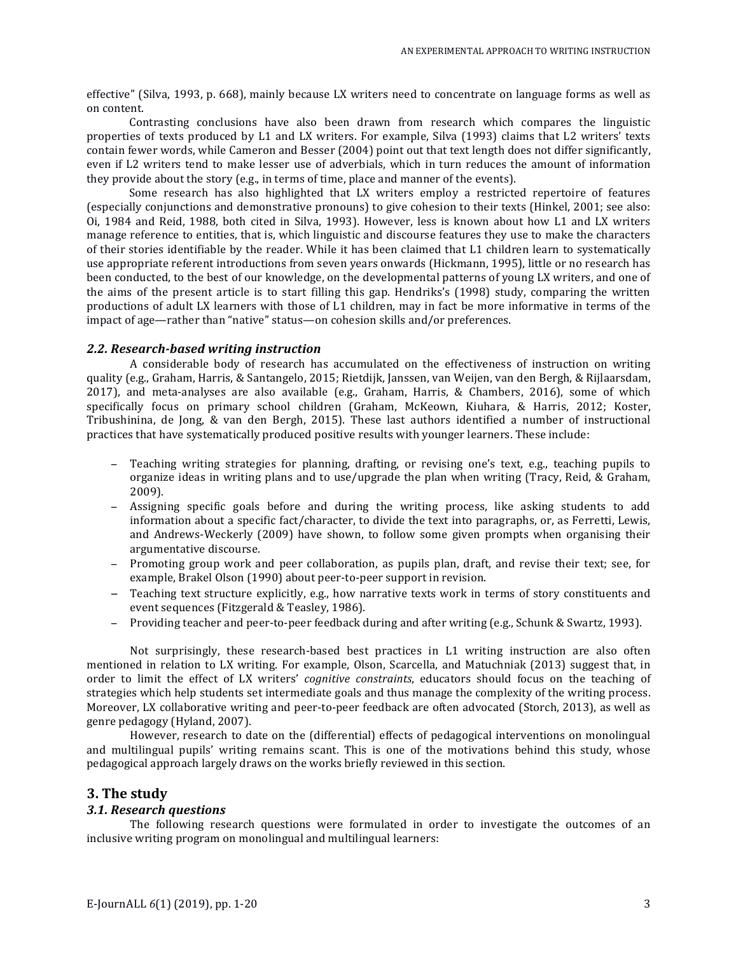effective" (Silva, 1993, p. 668), mainly because LX writers need to concentrate on language forms as well as on content.

Contrasting conclusions have also been drawn from research which compares the linguistic properties of texts produced by L1 and LX writers. For example, Silva (1993) claims that L2 writers' texts contain fewer words, while Cameron and Besser (2004) point out that text length does not differ significantly, even if L2 writers tend to make lesser use of adverbials, which in turn reduces the amount of information they provide about the story  $(e.g., in terms of time, place and manner of the events)$ .

Some research has also highlighted that LX writers employ a restricted repertoire of features (especially conjunctions and demonstrative pronouns) to give cohesion to their texts (Hinkel, 2001; see also: Oi, 1984 and Reid, 1988, both cited in Silva, 1993). However, less is known about how L1 and LX writers manage reference to entities, that is, which linguistic and discourse features they use to make the characters of their stories identifiable by the reader. While it has been claimed that L1 children learn to systematically use appropriate referent introductions from seven years onwards (Hickmann, 1995), little or no research has been conducted, to the best of our knowledge, on the developmental patterns of young LX writers, and one of the aims of the present article is to start filling this gap. Hendriks's (1998) study, comparing the written productions of adult LX learners with those of L1 children, may in fact be more informative in terms of the impact of age—rather than "native" status—on cohesion skills and/or preferences.

#### *2.2. Research-based writing instruction*

A considerable body of research has accumulated on the effectiveness of instruction on writing quality (e.g., Graham, Harris, & Santangelo, 2015; Rietdijk, Janssen, van Weijen, van den Bergh, & Rijlaarsdam, 2017), and meta-analyses are also available (e.g., Graham, Harris, & Chambers, 2016), some of which specifically focus on primary school children (Graham, McKeown, Kiuhara, & Harris, 2012; Koster, Tribushinina, de Jong,  $\&$  van den Bergh, 2015). These last authors identified a number of instructional practices that have systematically produced positive results with younger learners. These include:

- − Teaching writing strategies for planning, drafting, or revising one's text, e.g., teaching pupils to organize ideas in writing plans and to use/upgrade the plan when writing (Tracy, Reid, & Graham, 2009).
- − Assigning specific goals before and during the writing process, like asking students to add information about a specific fact/character, to divide the text into paragraphs, or, as Ferretti, Lewis, and Andrews-Weckerly (2009) have shown, to follow some given prompts when organising their argumentative discourse.
- − Promoting group work and peer collaboration, as pupils plan, draft, and revise their text; see, for example, Brakel Olson (1990) about peer-to-peer support in revision.
- − Teaching text structure explicitly, e.g., how narrative texts work in terms of story constituents and event sequences (Fitzgerald & Teasley, 1986).
- − Providing teacher and peer-to-peer feedback during and after writing (e.g., Schunk & Swartz, 1993).

Not surprisingly, these research-based best practices in L1 writing instruction are also often mentioned in relation to LX writing. For example, Olson, Scarcella, and Matuchniak (2013) suggest that, in order to limit the effect of LX writers' *cognitive constraints*, educators should focus on the teaching of strategies which help students set intermediate goals and thus manage the complexity of the writing process. Moreover, LX collaborative writing and peer-to-peer feedback are often advocated (Storch, 2013), as well as genre pedagogy (Hyland, 2007).

However, research to date on the (differential) effects of pedagogical interventions on monolingual and multilingual pupils' writing remains scant. This is one of the motivations behind this study, whose pedagogical approach largely draws on the works briefly reviewed in this section.

## **3. The study**

## *3.1. Research questions*

The following research questions were formulated in order to investigate the outcomes of an inclusive writing program on monolingual and multilingual learners: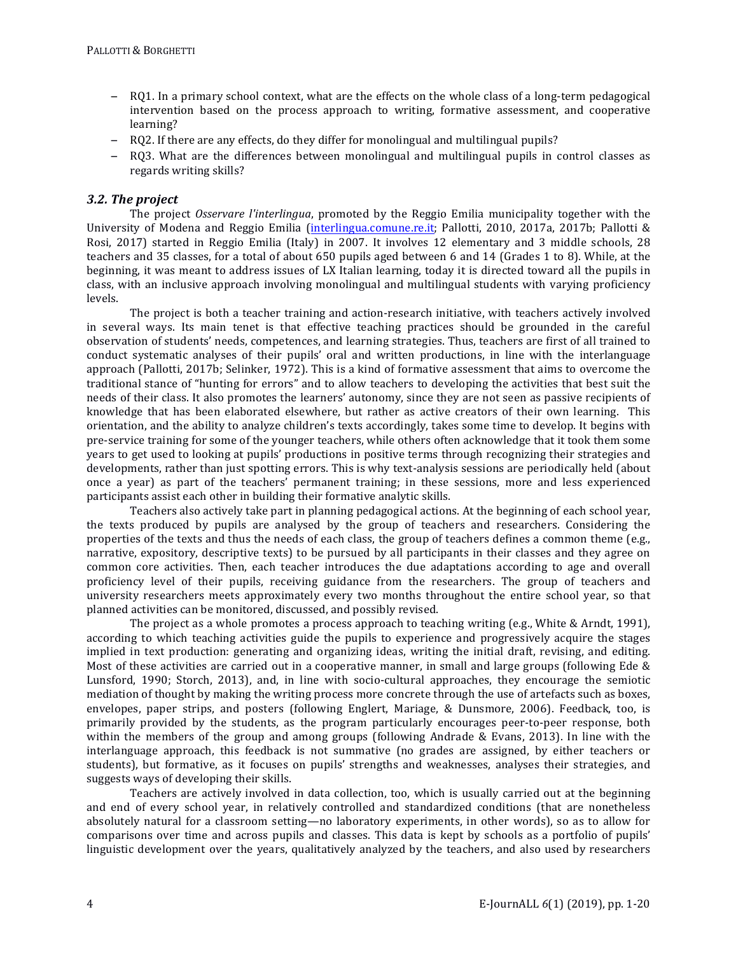- − RO1. In a primary school context, what are the effects on the whole class of a long-term pedagogical intervention based on the process approach to writing, formative assessment, and cooperative learning?
- − RQ2. If there are any effects, do they differ for monolingual and multilingual pupils?
- − RO3. What are the differences between monolingual and multilingual pupils in control classes as regards writing skills?

## 3.2. The project

The project *Osservare l'interlingua*, promoted by the Reggio Emilia municipality together with the University of Modena and Reggio Emilia (interlingua.comune.re.it; Pallotti, 2010, 2017a, 2017b; Pallotti & Rosi, 2017) started in Reggio Emilia (Italy) in 2007. It involves 12 elementary and 3 middle schools, 28 teachers and 35 classes, for a total of about 650 pupils aged between 6 and 14 (Grades 1 to 8). While, at the beginning, it was meant to address issues of LX Italian learning, today it is directed toward all the pupils in class, with an inclusive approach involving monolingual and multilingual students with varying proficiency levels.

The project is both a teacher training and action-research initiative, with teachers actively involved in several ways. Its main tenet is that effective teaching practices should be grounded in the careful observation of students' needs, competences, and learning strategies. Thus, teachers are first of all trained to conduct systematic analyses of their pupils' oral and written productions, in line with the interlanguage approach (Pallotti, 2017b; Selinker, 1972). This is a kind of formative assessment that aims to overcome the traditional stance of "hunting for errors" and to allow teachers to developing the activities that best suit the needs of their class. It also promotes the learners' autonomy, since they are not seen as passive recipients of knowledge that has been elaborated elsewhere, but rather as active creators of their own learning. This orientation, and the ability to analyze children's texts accordingly, takes some time to develop. It begins with pre-service training for some of the younger teachers, while others often acknowledge that it took them some years to get used to looking at pupils' productions in positive terms through recognizing their strategies and developments, rather than just spotting errors. This is why text-analysis sessions are periodically held (about once a year) as part of the teachers' permanent training; in these sessions, more and less experienced participants assist each other in building their formative analytic skills.

Teachers also actively take part in planning pedagogical actions. At the beginning of each school year, the texts produced by pupils are analysed by the group of teachers and researchers. Considering the properties of the texts and thus the needs of each class, the group of teachers defines a common theme (e.g., narrative, expository, descriptive texts) to be pursued by all participants in their classes and they agree on common core activities. Then, each teacher introduces the due adaptations according to age and overall proficiency level of their pupils, receiving guidance from the researchers. The group of teachers and university researchers meets approximately every two months throughout the entire school year, so that planned activities can be monitored, discussed, and possibly revised.

The project as a whole promotes a process approach to teaching writing  $(e.g.,$  White & Arndt, 1991), according to which teaching activities guide the pupils to experience and progressively acquire the stages implied in text production: generating and organizing ideas, writing the initial draft, revising, and editing, Most of these activities are carried out in a cooperative manner, in small and large groups (following Ede  $\&$ Lunsford, 1990; Storch, 2013), and, in line with socio-cultural approaches, they encourage the semiotic mediation of thought by making the writing process more concrete through the use of artefacts such as boxes, envelopes, paper strips, and posters (following Englert, Mariage, & Dunsmore, 2006). Feedback, too, is primarily provided by the students, as the program particularly encourages peer-to-peer response, both within the members of the group and among groups (following Andrade & Evans, 2013). In line with the interlanguage approach, this feedback is not summative (no grades are assigned, by either teachers or students), but formative, as it focuses on pupils' strengths and weaknesses, analyses their strategies, and suggests ways of developing their skills.

Teachers are actively involved in data collection, too, which is usually carried out at the beginning and end of every school year, in relatively controlled and standardized conditions (that are nonetheless absolutely natural for a classroom setting—no laboratory experiments, in other words), so as to allow for comparisons over time and across pupils and classes. This data is kept by schools as a portfolio of pupils' linguistic development over the years, qualitatively analyzed by the teachers, and also used by researchers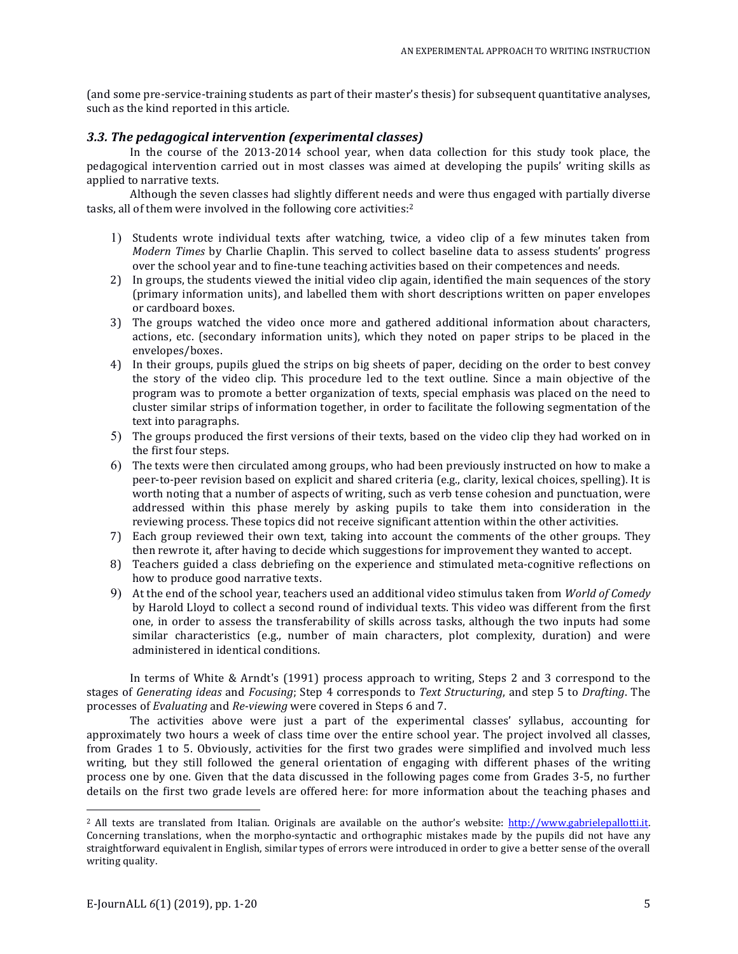(and some pre-service-training students as part of their master's thesis) for subsequent quantitative analyses, such as the kind reported in this article.

#### **3.3. The pedagogical intervention (experimental classes)**

In the course of the 2013-2014 school year, when data collection for this study took place, the pedagogical intervention carried out in most classes was aimed at developing the pupils' writing skills as applied to narrative texts.

Although the seven classes had slightly different needs and were thus engaged with partially diverse tasks, all of them were involved in the following core activities: $2$ 

- 1) Students wrote individual texts after watching, twice, a video clip of a few minutes taken from *Modern Times* by Charlie Chaplin. This served to collect baseline data to assess students' progress over the school year and to fine-tune teaching activities based on their competences and needs.
- 2) In groups, the students viewed the initial video clip again, identified the main sequences of the story (primary information units), and labelled them with short descriptions written on paper envelopes or cardboard boxes.
- 3) The groups watched the video once more and gathered additional information about characters, actions, etc. (secondary information units), which they noted on paper strips to be placed in the envelopes/boxes.
- 4) In their groups, pupils glued the strips on big sheets of paper, deciding on the order to best convey the story of the video clip. This procedure led to the text outline. Since a main objective of the program was to promote a better organization of texts, special emphasis was placed on the need to cluster similar strips of information together, in order to facilitate the following segmentation of the text into paragraphs.
- 5) The groups produced the first versions of their texts, based on the video clip they had worked on in the first four steps.
- 6) The texts were then circulated among groups, who had been previously instructed on how to make a peer-to-peer revision based on explicit and shared criteria (e.g., clarity, lexical choices, spelling). It is worth noting that a number of aspects of writing, such as verb tense cohesion and punctuation, were addressed within this phase merely by asking pupils to take them into consideration in the reviewing process. These topics did not receive significant attention within the other activities.
- 7) Each group reviewed their own text, taking into account the comments of the other groups. They then rewrote it, after having to decide which suggestions for improvement they wanted to accept.
- 8) Teachers guided a class debriefing on the experience and stimulated meta-cognitive reflections on how to produce good narrative texts.
- 9) At the end of the school year, teachers used an additional video stimulus taken from *World of Comedy* by Harold Lloyd to collect a second round of individual texts. This video was different from the first one, in order to assess the transferability of skills across tasks, although the two inputs had some similar characteristics  $(e.g.,$  number of main characters, plot complexity, duration) and were administered in identical conditions.

In terms of White & Arndt's (1991) process approach to writing, Steps 2 and 3 correspond to the stages of *Generating ideas* and *Focusing*; Step 4 corresponds to *Text Structuring*, and step 5 to *Drafting*. The processes of *Evaluating* and *Re-viewing* were covered in Steps 6 and 7.

The activities above were just a part of the experimental classes' syllabus, accounting for approximately two hours a week of class time over the entire school year. The project involved all classes, from Grades 1 to 5. Obviously, activities for the first two grades were simplified and involved much less writing, but they still followed the general orientation of engaging with different phases of the writing process one by one. Given that the data discussed in the following pages come from Grades 3-5, no further details on the first two grade levels are offered here: for more information about the teaching phases and

 $\overline{a}$ 

 $2$  All texts are translated from Italian. Originals are available on the author's website:  $\frac{http://www.gabrielepallott.it.}$ Concerning translations, when the morpho-syntactic and orthographic mistakes made by the pupils did not have any straightforward equivalent in English, similar types of errors were introduced in order to give a better sense of the overall writing quality.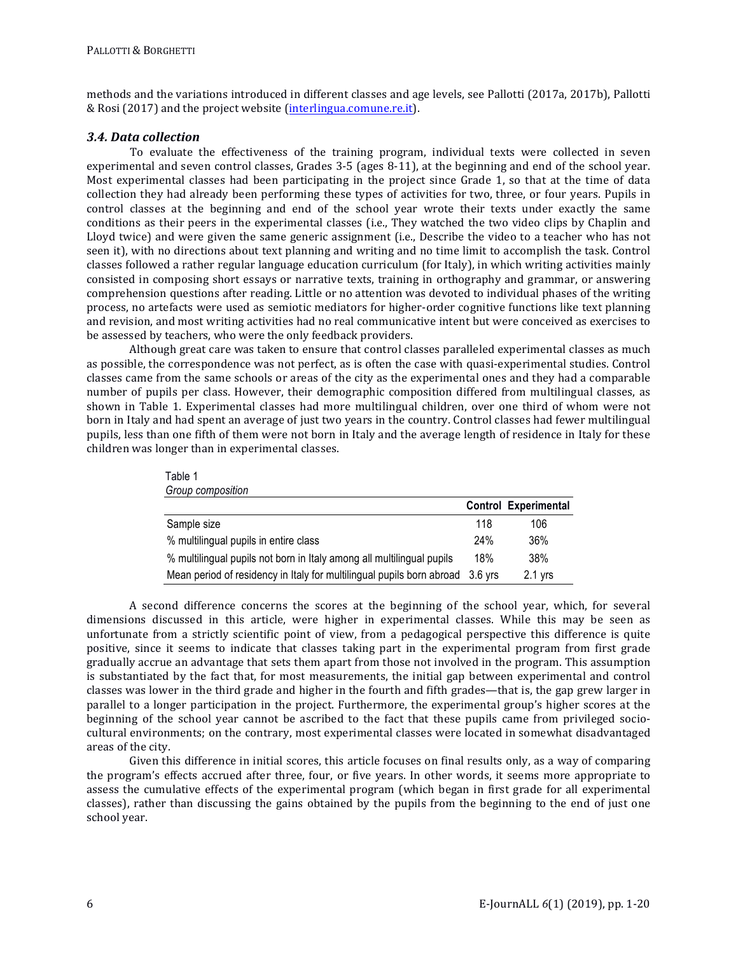methods and the variations introduced in different classes and age levels, see Pallotti (2017a, 2017b), Pallotti & Rosi (2017) and the project website (interlingua.comune.re.it).

## *3.4. Data collection*

To evaluate the effectiveness of the training program, individual texts were collected in seven experimental and seven control classes, Grades 3-5 (ages 8-11), at the beginning and end of the school year. Most experimental classes had been participating in the project since Grade 1, so that at the time of data collection they had already been performing these types of activities for two, three, or four years. Pupils in control classes at the beginning and end of the school year wrote their texts under exactly the same conditions as their peers in the experimental classes (i.e., They watched the two video clips by Chaplin and Lloyd twice) and were given the same generic assignment (i.e., Describe the video to a teacher who has not seen it), with no directions about text planning and writing and no time limit to accomplish the task. Control classes followed a rather regular language education curriculum (for Italy), in which writing activities mainly consisted in composing short essays or narrative texts, training in orthography and grammar, or answering comprehension questions after reading. Little or no attention was devoted to individual phases of the writing process, no artefacts were used as semiotic mediators for higher-order cognitive functions like text planning and revision, and most writing activities had no real communicative intent but were conceived as exercises to be assessed by teachers, who were the only feedback providers.

Although great care was taken to ensure that control classes paralleled experimental classes as much as possible, the correspondence was not perfect, as is often the case with quasi-experimental studies. Control classes came from the same schools or areas of the city as the experimental ones and they had a comparable number of pupils per class. However, their demographic composition differed from multilingual classes, as shown in Table 1. Experimental classes had more multilingual children, over one third of whom were not born in Italy and had spent an average of just two years in the country. Control classes had fewer multilingual pupils, less than one fifth of them were not born in Italy and the average length of residence in Italy for these children was longer than in experimental classes.

| Table 1                                                                       |     |                             |
|-------------------------------------------------------------------------------|-----|-----------------------------|
| Group composition                                                             |     |                             |
|                                                                               |     | <b>Control Experimental</b> |
| Sample size                                                                   | 118 | 106                         |
| % multilingual pupils in entire class                                         | 24% | 36%                         |
| % multilingual pupils not born in Italy among all multilingual pupils         | 18% | 38%                         |
| Mean period of residency in Italy for multilingual pupils born abroad 3.6 yrs |     | $2.1$ yrs                   |

A second difference concerns the scores at the beginning of the school year, which, for several dimensions discussed in this article, were higher in experimental classes. While this may be seen as unfortunate from a strictly scientific point of view, from a pedagogical perspective this difference is quite positive, since it seems to indicate that classes taking part in the experimental program from first grade gradually accrue an advantage that sets them apart from those not involved in the program. This assumption is substantiated by the fact that, for most measurements, the initial gap between experimental and control classes was lower in the third grade and higher in the fourth and fifth grades—that is, the gap grew larger in parallel to a longer participation in the project. Furthermore, the experimental group's higher scores at the beginning of the school year cannot be ascribed to the fact that these pupils came from privileged sociocultural environments; on the contrary, most experimental classes were located in somewhat disadvantaged areas of the city.

Given this difference in initial scores, this article focuses on final results only, as a way of comparing the program's effects accrued after three, four, or five years. In other words, it seems more appropriate to assess the cumulative effects of the experimental program (which began in first grade for all experimental classes), rather than discussing the gains obtained by the pupils from the beginning to the end of just one school year.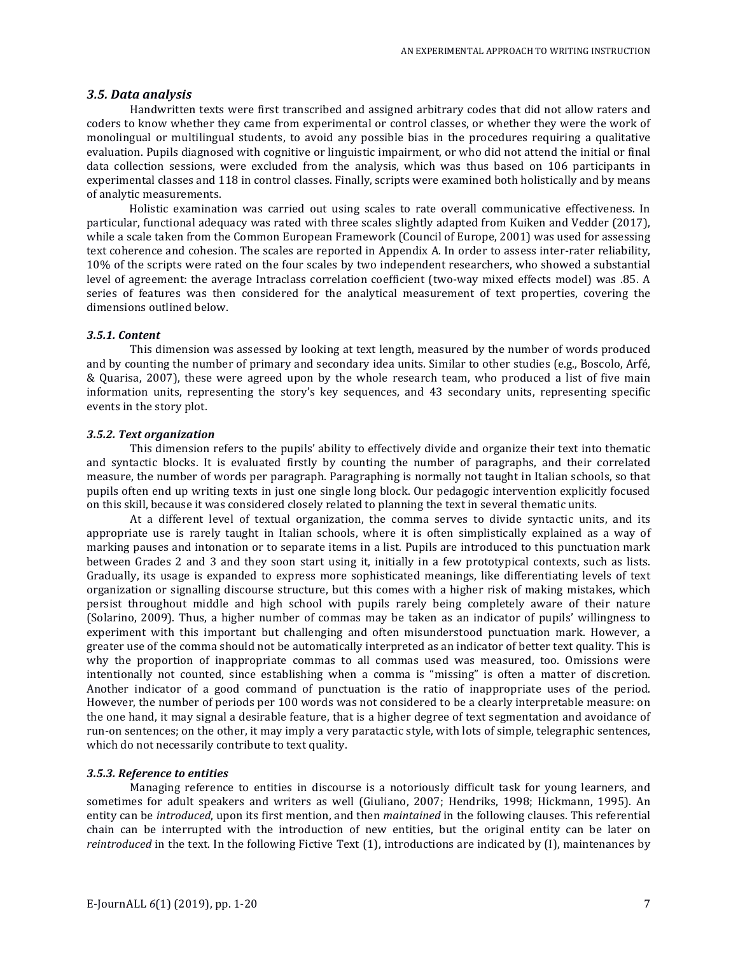#### *3.5. Data analysis*

Handwritten texts were first transcribed and assigned arbitrary codes that did not allow raters and coders to know whether they came from experimental or control classes, or whether they were the work of monolingual or multilingual students, to avoid any possible bias in the procedures requiring a qualitative evaluation. Pupils diagnosed with cognitive or linguistic impairment, or who did not attend the initial or final data collection sessions, were excluded from the analysis, which was thus based on 106 participants in experimental classes and 118 in control classes. Finally, scripts were examined both holistically and by means of analytic measurements.

Holistic examination was carried out using scales to rate overall communicative effectiveness. In particular, functional adequacy was rated with three scales slightly adapted from Kuiken and Vedder (2017), while a scale taken from the Common European Framework (Council of Europe, 2001) was used for assessing text coherence and cohesion. The scales are reported in Appendix A. In order to assess inter-rater reliability, 10% of the scripts were rated on the four scales by two independent researchers, who showed a substantial level of agreement: the average Intraclass correlation coefficient (two-way mixed effects model) was .85. A series of features was then considered for the analytical measurement of text properties, covering the dimensions outlined below.

#### *3.5.1. Content*

This dimension was assessed by looking at text length, measured by the number of words produced and by counting the number of primary and secondary idea units. Similar to other studies (e.g., Boscolo, Arfé, & Quarisa, 2007), these were agreed upon by the whole research team, who produced a list of five main information units, representing the story's key sequences, and 43 secondary units, representing specific events in the story plot.

#### *3.5.2. Text organization*

This dimension refers to the pupils' ability to effectively divide and organize their text into thematic and syntactic blocks. It is evaluated firstly by counting the number of paragraphs, and their correlated measure, the number of words per paragraph. Paragraphing is normally not taught in Italian schools, so that pupils often end up writing texts in just one single long block. Our pedagogic intervention explicitly focused on this skill, because it was considered closely related to planning the text in several thematic units.

At a different level of textual organization, the comma serves to divide syntactic units, and its appropriate use is rarely taught in Italian schools, where it is often simplistically explained as a way of marking pauses and intonation or to separate items in a list. Pupils are introduced to this punctuation mark between Grades 2 and 3 and they soon start using it, initially in a few prototypical contexts, such as lists. Gradually, its usage is expanded to express more sophisticated meanings, like differentiating levels of text organization or signalling discourse structure, but this comes with a higher risk of making mistakes, which persist throughout middle and high school with pupils rarely being completely aware of their nature (Solarino, 2009). Thus, a higher number of commas may be taken as an indicator of pupils' willingness to experiment with this important but challenging and often misunderstood punctuation mark. However, a greater use of the comma should not be automatically interpreted as an indicator of better text quality. This is why the proportion of inappropriate commas to all commas used was measured, too. Omissions were intentionally not counted, since establishing when a comma is "missing" is often a matter of discretion. Another indicator of a good command of punctuation is the ratio of inappropriate uses of the period. However, the number of periods per 100 words was not considered to be a clearly interpretable measure: on the one hand, it may signal a desirable feature, that is a higher degree of text segmentation and avoidance of run-on sentences; on the other, it may imply a very paratactic style, with lots of simple, telegraphic sentences, which do not necessarily contribute to text quality.

#### *3.5.3. Reference to entities*

Managing reference to entities in discourse is a notoriously difficult task for young learners, and sometimes for adult speakers and writers as well (Giuliano, 2007; Hendriks, 1998; Hickmann, 1995). An entity can be *introduced*, upon its first mention, and then *maintained* in the following clauses. This referential chain can be interrupted with the introduction of new entities, but the original entity can be later on *reintroduced* in the text. In the following Fictive Text (1), introductions are indicated by (I), maintenances by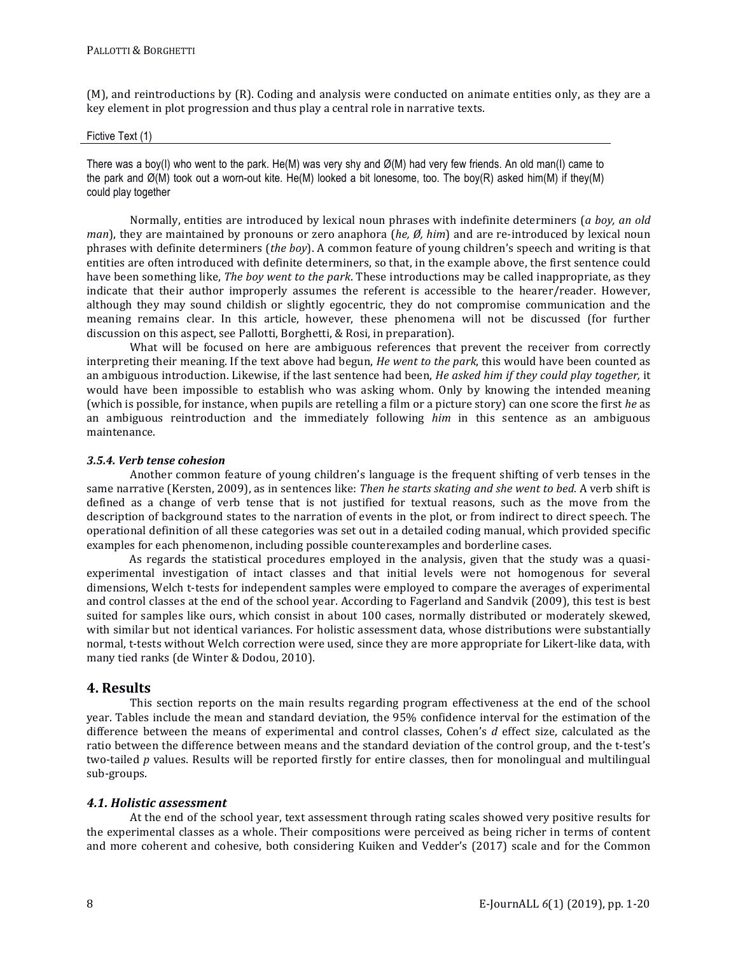(M), and reintroductions by  $(R)$ . Coding and analysis were conducted on animate entities only, as they are a key element in plot progression and thus play a central role in narrative texts.

#### Fictive Text (1)

There was a boy(I) who went to the park. He(M) was very shy and  $\varnothing(M)$  had very few friends. An old man(I) came to the park and Ø(M) took out a worn-out kite. He(M) looked a bit lonesome, too. The boy(R) asked him(M) if they(M) could play together

Normally, entities are introduced by lexical noun phrases with indefinite determiners (*a boy, an old man*), they are maintained by pronouns or zero anaphora (*he, Ø, him*) and are re-introduced by lexical noun phrases with definite determiners (*the boy*). A common feature of young children's speech and writing is that entities are often introduced with definite determiners, so that, in the example above, the first sentence could have been something like, *The boy went to the park*. These introductions may be called inappropriate, as they indicate that their author improperly assumes the referent is accessible to the hearer/reader. However, although they may sound childish or slightly egocentric, they do not compromise communication and the meaning remains clear. In this article, however, these phenomena will not be discussed (for further discussion on this aspect, see Pallotti, Borghetti, & Rosi, in preparation).

What will be focused on here are ambiguous references that prevent the receiver from correctly interpreting their meaning. If the text above had begun, *He went to the park*, this would have been counted as an ambiguous introduction. Likewise, if the last sentence had been, *He asked him if they could play together*, it would have been impossible to establish who was asking whom. Only by knowing the intended meaning (which is possible, for instance, when pupils are retelling a film or a picture story) can one score the first *he* as an ambiguous reintroduction and the immediately following *him* in this sentence as an ambiguous maintenance. 

## *3.5.4. Verb tense cohesion*

Another common feature of young children's language is the frequent shifting of verb tenses in the same narrative (Kersten, 2009), as in sentences like: *Then he starts skating and she went to bed.* A verb shift is defined as a change of verb tense that is not justified for textual reasons, such as the move from the description of background states to the narration of events in the plot, or from indirect to direct speech. The operational definition of all these categories was set out in a detailed coding manual, which provided specific examples for each phenomenon, including possible counterexamples and borderline cases.

As regards the statistical procedures employed in the analysis, given that the study was a quasiexperimental investigation of intact classes and that initial levels were not homogenous for several dimensions, Welch t-tests for independent samples were employed to compare the averages of experimental and control classes at the end of the school year. According to Fagerland and Sandvik (2009), this test is best suited for samples like ours, which consist in about 100 cases, normally distributed or moderately skewed, with similar but not identical variances. For holistic assessment data, whose distributions were substantially normal, t-tests without Welch correction were used, since they are more appropriate for Likert-like data, with many tied ranks (de Winter & Dodou, 2010).

# **4. Results**

This section reports on the main results regarding program effectiveness at the end of the school year. Tables include the mean and standard deviation, the 95% confidence interval for the estimation of the difference between the means of experimental and control classes, Cohen's *d* effect size, calculated as the ratio between the difference between means and the standard deviation of the control group, and the t-test's two-tailed *p* values. Results will be reported firstly for entire classes, then for monolingual and multilingual sub-groups. 

## *4.1. Holistic assessment*

At the end of the school year, text assessment through rating scales showed very positive results for the experimental classes as a whole. Their compositions were perceived as being richer in terms of content and more coherent and cohesive, both considering Kuiken and Vedder's (2017) scale and for the Common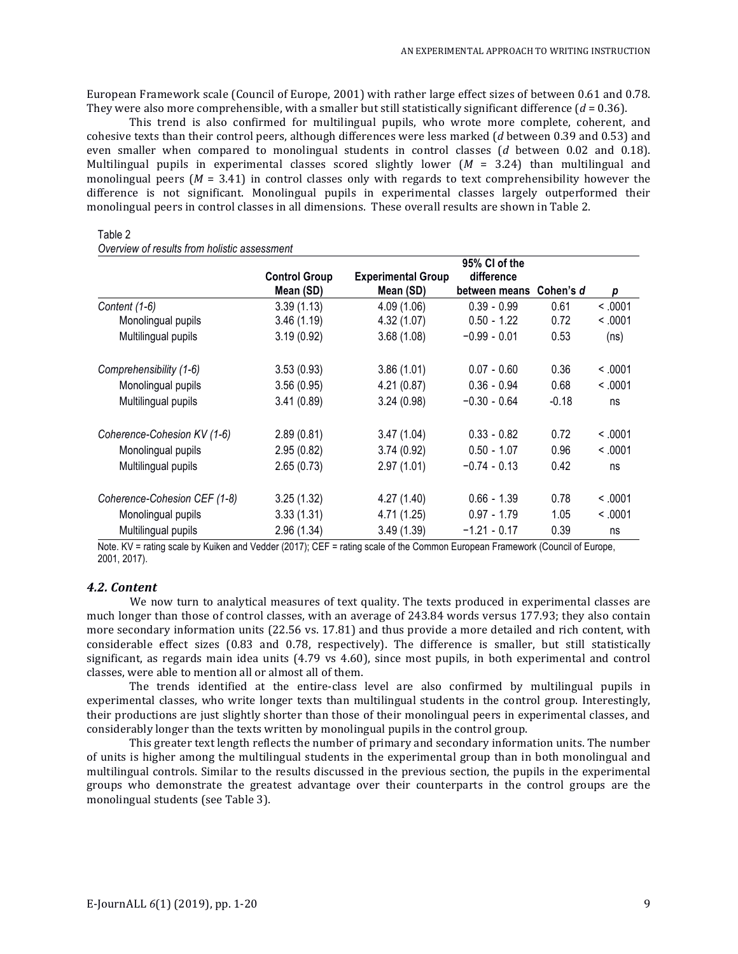European Framework scale (Council of Europe, 2001) with rather large effect sizes of between 0.61 and 0.78. They were also more comprehensible, with a smaller but still statistically significant difference  $(d = 0.36)$ .

This trend is also confirmed for multilingual pupils, who wrote more complete, coherent, and cohesive texts than their control peers, although differences were less marked (*d* between 0.39 and 0.53) and even smaller when compared to monolingual students in control classes (*d* between 0.02 and 0.18). Multilingual pupils in experimental classes scored slightly lower  $(M = 3.24)$  than multilingual and monolingual peers  $(M = 3.41)$  in control classes only with regards to text comprehensibility however the difference is not significant. Monolingual pupils in experimental classes largely outperformed their monolingual peers in control classes in all dimensions. These overall results are shown in Table 2.

# Table 2

|                              |                      |                           | 95% CI of the  |           |         |
|------------------------------|----------------------|---------------------------|----------------|-----------|---------|
|                              | <b>Control Group</b> | <b>Experimental Group</b> | difference     |           |         |
|                              | Mean (SD)            | Mean (SD)                 | between means  | Cohen's d | р       |
| Content (1-6)                | 3.39(1.13)           | 4.09 (1.06)               | $0.39 - 0.99$  | 0.61      | < 0.001 |
| Monolingual pupils           | 3.46(1.19)           | 4.32 (1.07)               | $0.50 - 1.22$  | 0.72      | < 0.001 |
| Multilingual pupils          | 3.19(0.92)           | 3.68(1.08)                | $-0.99 - 0.01$ | 0.53      | (ns)    |
| Comprehensibility (1-6)      | 3.53(0.93)           | 3.86(1.01)                | $0.07 - 0.60$  | 0.36      | < 0.001 |
| Monolingual pupils           | 3.56(0.95)           | 4.21(0.87)                | $0.36 - 0.94$  | 0.68      | < 0.001 |
| Multilingual pupils          | 3.41(0.89)           | 3.24(0.98)                | $-0.30 - 0.64$ | $-0.18$   | ns      |
| Coherence-Cohesion KV (1-6)  | 2.89(0.81)           | 3.47(1.04)                | $0.33 - 0.82$  | 0.72      | < 0.001 |
| Monolingual pupils           | 2.95(0.82)           | 3.74(0.92)                | $0.50 - 1.07$  | 0.96      | < 0.001 |
| Multilingual pupils          | 2.65(0.73)           | 2.97(1.01)                | $-0.74 - 0.13$ | 0.42      | ns      |
| Coherence-Cohesion CEF (1-8) | 3.25(1.32)           | 4.27 (1.40)               | $0.66 - 1.39$  | 0.78      | < 0.001 |
| Monolingual pupils           | 3.33(1.31)           | 4.71 (1.25)               | $0.97 - 1.79$  | 1.05      | < 0.001 |
| Multilingual pupils          | 2.96(1.34)           | 3.49(1.39)                | $-1.21 - 0.17$ | 0.39      | ns      |

Note. KV = rating scale by Kuiken and Vedder (2017); CEF = rating scale of the Common European Framework (Council of Europe, 2001, 2017).

## *4.2. Content*

We now turn to analytical measures of text quality. The texts produced in experimental classes are much longer than those of control classes, with an average of 243.84 words versus 177.93; they also contain more secondary information units (22.56 vs. 17.81) and thus provide a more detailed and rich content, with considerable effect sizes (0.83 and 0.78, respectively). The difference is smaller, but still statistically significant, as regards main idea units  $(4.79 \text{ vs } 4.60)$ , since most pupils, in both experimental and control classes, were able to mention all or almost all of them.

The trends identified at the entire-class level are also confirmed by multilingual pupils in experimental classes, who write longer texts than multilingual students in the control group. Interestingly, their productions are just slightly shorter than those of their monolingual peers in experimental classes, and considerably longer than the texts written by monolingual pupils in the control group.

This greater text length reflects the number of primary and secondary information units. The number of units is higher among the multilingual students in the experimental group than in both monolingual and multilingual controls. Similar to the results discussed in the previous section, the pupils in the experimental groups who demonstrate the greatest advantage over their counterparts in the control groups are the monolingual students (see Table 3).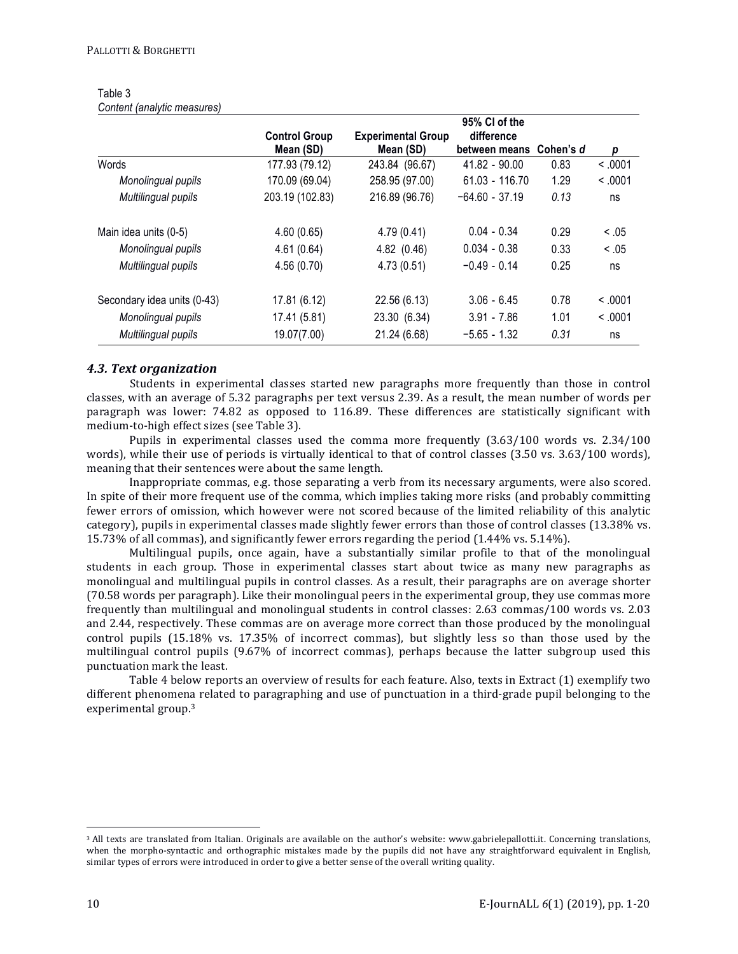|                             |                                   |                                        | 95% CI of the                         |      |         |
|-----------------------------|-----------------------------------|----------------------------------------|---------------------------------------|------|---------|
|                             | <b>Control Group</b><br>Mean (SD) | <b>Experimental Group</b><br>Mean (SD) | difference<br>between means Cohen's d |      | р       |
| Words                       | 177.93 (79.12)                    | 243.84 (96.67)                         | 41.82 - 90.00                         | 0.83 | < 0.001 |
| Monolingual pupils          | 170.09 (69.04)                    | 258.95 (97.00)                         | $61.03 - 116.70$                      | 1.29 | < 0.001 |
| Multilingual pupils         | 203.19 (102.83)                   | 216.89 (96.76)                         | $-64.60 - 37.19$                      | 0.13 | ns      |
| Main idea units (0-5)       | 4.60(0.65)                        | 4.79(0.41)                             | $0.04 - 0.34$                         | 0.29 | < .05   |
| Monolingual pupils          | 4.61(0.64)                        | 4.82 (0.46)                            | $0.034 - 0.38$                        | 0.33 | < 0.05  |
| Multilingual pupils         | 4.56(0.70)                        | 4.73(0.51)                             | $-0.49 - 0.14$                        | 0.25 | ns      |
| Secondary idea units (0-43) | 17.81 (6.12)                      | 22.56 (6.13)                           | $3.06 - 6.45$                         | 0.78 | < 0.001 |
| Monolingual pupils          | 17.41 (5.81)                      | 23.30 (6.34)                           | $3.91 - 7.86$                         | 1.01 | < 0.001 |
| Multilingual pupils         | 19.07(7.00)                       | 21.24 (6.68)                           | $-5.65 - 1.32$                        | 0.31 | ns      |

#### Table 3 *Content (analytic measures)*

## *4.3. Text organization*

Students in experimental classes started new paragraphs more frequently than those in control classes, with an average of 5.32 paragraphs per text versus 2.39. As a result, the mean number of words per paragraph was lower: 74.82 as opposed to 116.89. These differences are statistically significant with medium-to-high effect sizes (see Table 3).

Pupils in experimental classes used the comma more frequently  $(3.63/100 \text{ words vs. } 2.34/100$ words), while their use of periods is virtually identical to that of control classes  $(3.50 \text{ vs. } 3.63/100 \text{ words})$ , meaning that their sentences were about the same length.

Inappropriate commas, e.g. those separating a verb from its necessary arguments, were also scored. In spite of their more frequent use of the comma, which implies taking more risks (and probably committing fewer errors of omission, which however were not scored because of the limited reliability of this analytic category), pupils in experimental classes made slightly fewer errors than those of control classes (13.38% vs. 15.73% of all commas), and significantly fewer errors regarding the period  $(1.44\% \text{ vs. } 5.14\%).$ 

Multilingual pupils, once again, have a substantially similar profile to that of the monolingual students in each group. Those in experimental classes start about twice as many new paragraphs as monolingual and multilingual pupils in control classes. As a result, their paragraphs are on average shorter (70.58 words per paragraph). Like their monolingual peers in the experimental group, they use commas more frequently than multilingual and monolingual students in control classes: 2.63 commas/100 words vs. 2.03 and 2.44, respectively. These commas are on average more correct than those produced by the monolingual control pupils (15.18% vs. 17.35% of incorrect commas), but slightly less so than those used by the multilingual control pupils (9.67% of incorrect commas), perhaps because the latter subgroup used this punctuation mark the least.

Table 4 below reports an overview of results for each feature. Also, texts in Extract (1) exemplify two different phenomena related to paragraphing and use of punctuation in a third-grade pupil belonging to the experimental group.<sup>3</sup>

 $\overline{a}$ 

<sup>&</sup>lt;sup>3</sup> All texts are translated from Italian. Originals are available on the author's website: www.gabrielepallotti.it. Concerning translations, when the morpho-syntactic and orthographic mistakes made by the pupils did not have any straightforward equivalent in English, similar types of errors were introduced in order to give a better sense of the overall writing quality.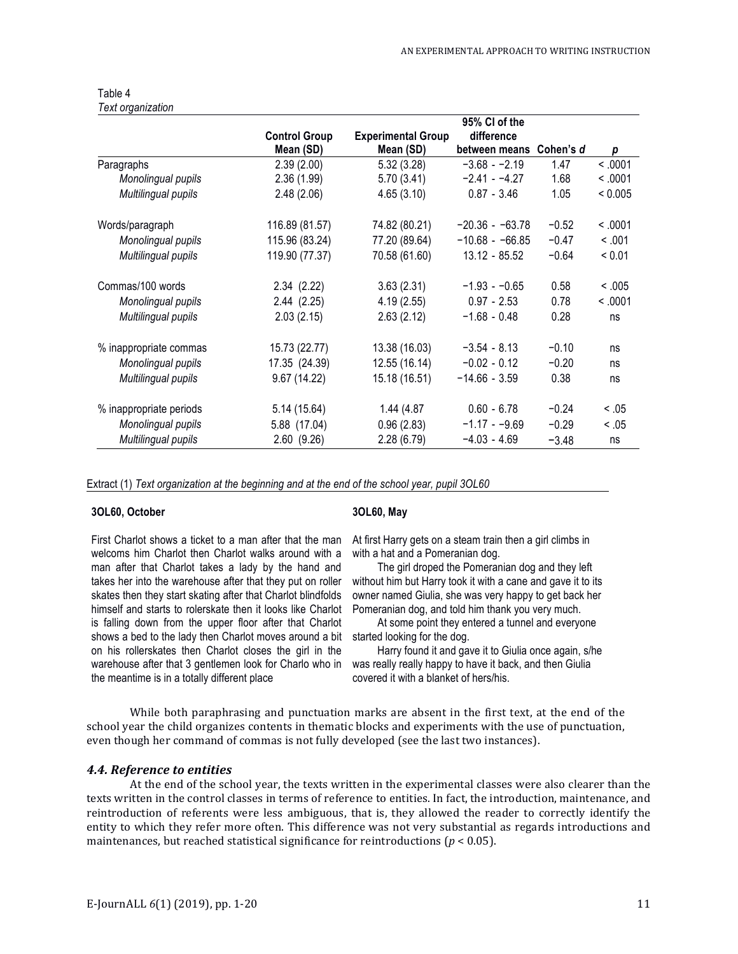| Table 4           |
|-------------------|
| Text organization |

|                         |                      |                           | 95% CI of the     |           |         |
|-------------------------|----------------------|---------------------------|-------------------|-----------|---------|
|                         | <b>Control Group</b> | <b>Experimental Group</b> | difference        |           |         |
|                         | Mean (SD)            | Mean (SD)                 | between means     | Cohen's d | р       |
| Paragraphs              | 2.39(2.00)           | 5.32(3.28)                | $-3.68 - -2.19$   | 1.47      | < 0.001 |
| Monolingual pupils      | 2.36(1.99)           | 5.70(3.41)                | $-2.41 - -4.27$   | 1.68      | < 0.001 |
| Multilingual pupils     | 2.48(2.06)           | 4.65(3.10)                | $0.87 - 3.46$     | 1.05      | < 0.005 |
| Words/paragraph         | 116.89 (81.57)       | 74.82 (80.21)             | $-20.36 - 63.78$  | $-0.52$   | < 0.001 |
| Monolingual pupils      | 115.96 (83.24)       | 77.20 (89.64)             | $-10.68 - -66.85$ | $-0.47$   | < .001  |
| Multilingual pupils     | 119.90 (77.37)       | 70.58 (61.60)             | 13.12 - 85.52     | $-0.64$   | < 0.01  |
| Commas/100 words        | 2.34(2.22)           | 3.63(2.31)                | $-1.93 - -0.65$   | 0.58      | < 0.005 |
| Monolingual pupils      | 2.44(2.25)           | 4.19(2.55)                | $0.97 - 2.53$     | 0.78      | < 0.001 |
| Multilingual pupils     | 2.03(2.15)           | 2.63(2.12)                | $-1.68 - 0.48$    | 0.28      | ns      |
| % inappropriate commas  | 15.73 (22.77)        | 13.38 (16.03)             | $-3.54 - 8.13$    | $-0.10$   | ns      |
| Monolingual pupils      | 17.35 (24.39)        | 12.55 (16.14)             | $-0.02 - 0.12$    | $-0.20$   | ns      |
| Multilingual pupils     | 9.67 (14.22)         | 15.18 (16.51)             | $-14.66 - 3.59$   | 0.38      | ns      |
| % inappropriate periods | 5.14 (15.64)         | 1.44 (4.87                | $0.60 - 6.78$     | $-0.24$   | < .05   |
| Monolingual pupils      | 5.88 (17.04)         | 0.96(2.83)                | $-1.17 - -9.69$   | $-0.29$   | < 0.05  |
| Multilingual pupils     | 2.60(9.26)           | 2.28(6.79)                | $-4.03 - 4.69$    | $-3.48$   | ns      |

Extract (1) *Text organization at the beginning and at the end of the school year, pupil 3OL60*

#### **3OL60, October**

#### **3OL60, May**

First Charlot shows a ticket to a man after that the man welcoms him Charlot then Charlot walks around with a man after that Charlot takes a lady by the hand and takes her into the warehouse after that they put on roller skates then they start skating after that Charlot blindfolds himself and starts to rolerskate then it looks like Charlot is falling down from the upper floor after that Charlot shows a bed to the lady then Charlot moves around a bit on his rollerskates then Charlot closes the girl in the warehouse after that 3 gentlemen look for Charlo who in the meantime is in a totally different place

At first Harry gets on a steam train then a girl climbs in with a hat and a Pomeranian dog.

The girl droped the Pomeranian dog and they left without him but Harry took it with a cane and gave it to its owner named Giulia, she was very happy to get back her Pomeranian dog, and told him thank you very much.

At some point they entered a tunnel and everyone started looking for the dog.

Harry found it and gave it to Giulia once again, s/he was really really happy to have it back, and then Giulia covered it with a blanket of hers/his.

While both paraphrasing and punctuation marks are absent in the first text, at the end of the school year the child organizes contents in thematic blocks and experiments with the use of punctuation, even though her command of commas is not fully developed (see the last two instances).

#### *4.4. Reference to entities*

At the end of the school year, the texts written in the experimental classes were also clearer than the texts written in the control classes in terms of reference to entities. In fact, the introduction, maintenance, and reintroduction of referents were less ambiguous, that is, they allowed the reader to correctly identify the entity to which they refer more often. This difference was not very substantial as regards introductions and maintenances, but reached statistical significance for reintroductions ( $p < 0.05$ ).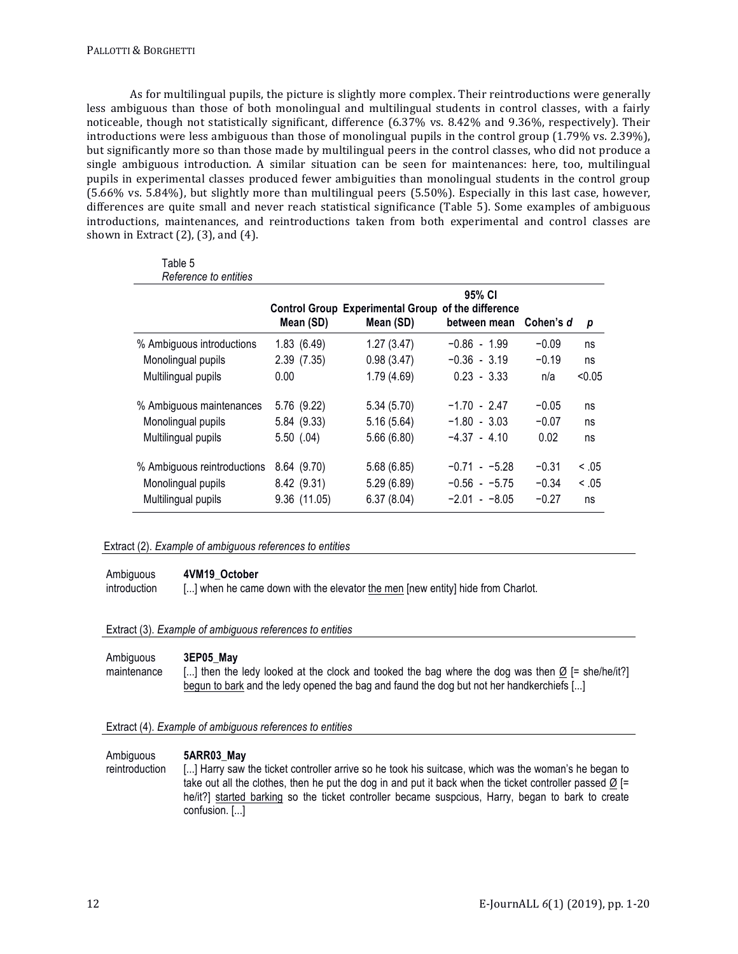As for multilingual pupils, the picture is slightly more complex. Their reintroductions were generally less ambiguous than those of both monolingual and multilingual students in control classes, with a fairly noticeable, though not statistically significant, difference  $(6.37\% \text{ vs. } 8.42\% \text{ and } 9.36\%$ , respectively). Their introductions were less ambiguous than those of monolingual pupils in the control group  $(1.79\% \text{ vs. } 2.39\%)$ , but significantly more so than those made by multilingual peers in the control classes, who did not produce a single ambiguous introduction. A similar situation can be seen for maintenances: here, too, multilingual pupils in experimental classes produced fewer ambiguities than monolingual students in the control group (5.66% vs. 5.84%), but slightly more than multilingual peers (5.50%). Especially in this last case, however, differences are quite small and never reach statistical significance (Table 5). Some examples of ambiguous introductions, maintenances, and reintroductions taken from both experimental and control classes are shown in Extract  $(2)$ ,  $(3)$ , and  $(4)$ .

| l able 5<br>Reference to entities |              |                                                                 |                        |           |        |
|-----------------------------------|--------------|-----------------------------------------------------------------|------------------------|-----------|--------|
|                                   | Mean (SD)    | Control Group Experimental Group of the difference<br>Mean (SD) | 95% CI<br>between mean | Cohen's d | p      |
| % Ambiguous introductions         | 1.83(6.49)   | 1.27(3.47)                                                      | $-0.86 - 1.99$         | $-0.09$   | ns     |
| Monolingual pupils                | 2.39(7.35)   | 0.98(3.47)                                                      | $-0.36 - 3.19$         | $-0.19$   | ns     |
| Multilingual pupils               | 0.00         | 1.79(4.69)                                                      | $0.23 - 3.33$          | n/a       | < 0.05 |
| % Ambiguous maintenances          | 5.76 (9.22)  | 5.34(5.70)                                                      | $-1.70 - 2.47$         | $-0.05$   | ns     |
| Monolingual pupils                | 5.84 (9.33)  | 5.16(5.64)                                                      | $-1.80 - 3.03$         | $-0.07$   | ns     |
| Multilingual pupils               | 5.50(0.04)   | 5.66(6.80)                                                      | $-4.37 - 4.10$         | 0.02      | ns     |
| % Ambiguous reintroductions       | 8.64 (9.70)  | 5.68 (6.85)                                                     | $-0.71 - -5.28$        | $-0.31$   | < 0.05 |
| Monolingual pupils                | 8.42 (9.31)  | 5.29 (6.89)                                                     | $-0.56 - -5.75$        | $-0.34$   | < 0.05 |
| Multilingual pupils               | 9.36 (11.05) | 6.37(8.04)                                                      | $-2.01 - -8.05$        | $-0.27$   | ns     |

## Extract (2). *Example of ambiguous references to entities*

Ambiguous **4VM19\_October**

 $\pm$   $\pm$   $\pm$ 

introduction [...] when he came down with the elevator the men [new entity] hide from Charlot.

Extract (3). *Example of ambiguous references to entities*

| Ambiguous   | 3EP05 May                                                                                                 |
|-------------|-----------------------------------------------------------------------------------------------------------|
| maintenance | [] then the ledy looked at the clock and tooked the bag where the dog was then $\emptyset$ [= she/he/it?] |
|             | begun to bark and the ledy opened the bag and faund the dog but not her handkerchiefs []                  |

Extract (4). *Example of ambiguous references to entities*

#### Ambiguous reintroduction **5ARR03\_May** [...] Harry saw the ticket controller arrive so he took his suitcase, which was the woman's he began to take out all the clothes, then he put the dog in and put it back when the ticket controller passed  $\varnothing$  [= he/it?] started barking so the ticket controller became suspcious, Harry, began to bark to create confusion. [...]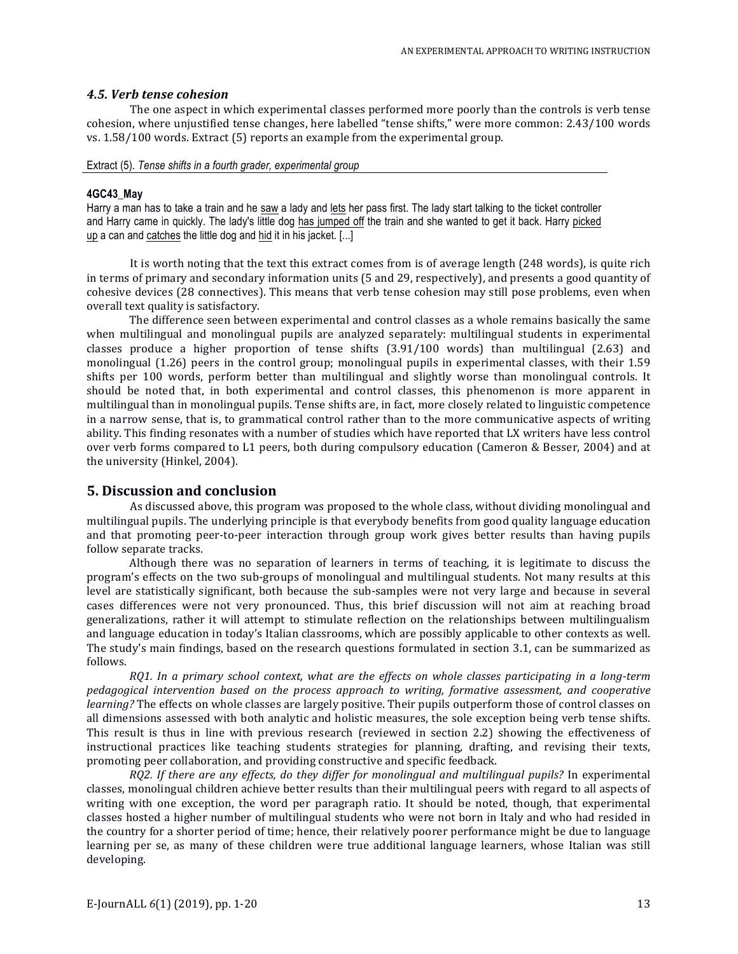#### *4.5. Verb tense cohesion*

The one aspect in which experimental classes performed more poorly than the controls is verb tense cohesion, where unjustified tense changes, here labelled "tense shifts," were more common: 2.43/100 words vs.  $1.58/100$  words. Extract  $(5)$  reports an example from the experimental group.

#### Extract (5). *Tense shifts in a fourth grader, experimental group*

#### **4GC43\_May**

Harry a man has to take a train and he saw a lady and lets her pass first. The lady start talking to the ticket controller and Harry came in quickly. The lady's little dog has jumped off the train and she wanted to get it back. Harry picked up a can and catches the little dog and hid it in his jacket. [...]

It is worth noting that the text this extract comes from is of average length  $(248 \text{ words})$ , is quite rich in terms of primary and secondary information units (5 and 29, respectively), and presents a good quantity of cohesive devices (28 connectives). This means that verb tense cohesion may still pose problems, even when overall text quality is satisfactory.

The difference seen between experimental and control classes as a whole remains basically the same when multilingual and monolingual pupils are analyzed separately: multilingual students in experimental classes produce a higher proportion of tense shifts  $(3.91/100 \text{ words})$  than multilingual  $(2.63)$  and monolingual (1.26) peers in the control group; monolingual pupils in experimental classes, with their 1.59 shifts per 100 words, perform better than multilingual and slightly worse than monolingual controls. It should be noted that, in both experimental and control classes, this phenomenon is more apparent in multilingual than in monolingual pupils. Tense shifts are, in fact, more closely related to linguistic competence in a narrow sense, that is, to grammatical control rather than to the more communicative aspects of writing ability. This finding resonates with a number of studies which have reported that LX writers have less control over verb forms compared to L1 peers, both during compulsory education (Cameron & Besser, 2004) and at the university (Hinkel, 2004).

## **5. Discussion and conclusion**

As discussed above, this program was proposed to the whole class, without dividing monolingual and multilingual pupils. The underlying principle is that everybody benefits from good quality language education and that promoting peer-to-peer interaction through group work gives better results than having pupils follow separate tracks.

Although there was no separation of learners in terms of teaching, it is legitimate to discuss the program's effects on the two sub-groups of monolingual and multilingual students. Not many results at this level are statistically significant, both because the sub-samples were not very large and because in several cases differences were not very pronounced. Thus, this brief discussion will not aim at reaching broad generalizations, rather it will attempt to stimulate reflection on the relationships between multilingualism and language education in today's Italian classrooms, which are possibly applicable to other contexts as well. The study's main findings, based on the research questions formulated in section 3.1, can be summarized as follows.

*RQ1. In a primary school context, what are the effects on whole classes participating in a long-term pedagogical intervention based on the process approach to writing, formative assessment, and cooperative learning?* The effects on whole classes are largely positive. Their pupils outperform those of control classes on all dimensions assessed with both analytic and holistic measures, the sole exception being verb tense shifts. This result is thus in line with previous research (reviewed in section 2.2) showing the effectiveness of instructional practices like teaching students strategies for planning, drafting, and revising their texts, promoting peer collaboration, and providing constructive and specific feedback.

*RQ2. If there are any effects, do they differ for monolingual and multilingual pupils?* In experimental classes, monolingual children achieve better results than their multilingual peers with regard to all aspects of writing with one exception, the word per paragraph ratio. It should be noted, though, that experimental classes hosted a higher number of multilingual students who were not born in Italy and who had resided in the country for a shorter period of time; hence, their relatively poorer performance might be due to language learning per se, as many of these children were true additional language learners, whose Italian was still developing.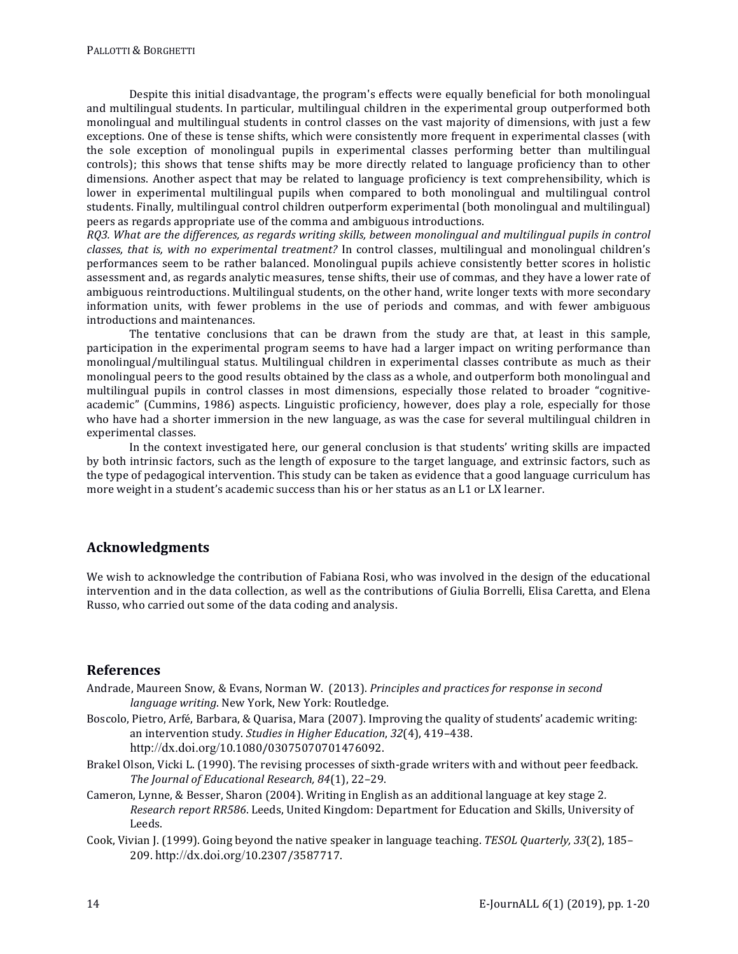Despite this initial disadvantage, the program's effects were equally beneficial for both monolingual and multilingual students. In particular, multilingual children in the experimental group outperformed both monolingual and multilingual students in control classes on the vast majority of dimensions, with just a few exceptions. One of these is tense shifts, which were consistently more frequent in experimental classes (with the sole exception of monolingual pupils in experimental classes performing better than multilingual controls); this shows that tense shifts may be more directly related to language proficiency than to other dimensions. Another aspect that may be related to language proficiency is text comprehensibility, which is lower in experimental multilingual pupils when compared to both monolingual and multilingual control students. Finally, multilingual control children outperform experimental (both monolingual and multilingual) peers as regards appropriate use of the comma and ambiguous introductions.

*RO3.* What are the differences, as regards writing skills, between monolingual and multilingual pupils in control *classes, that is, with no experimental treatment?* In control classes, multilingual and monolingual children's performances seem to be rather balanced. Monolingual pupils achieve consistently better scores in holistic assessment and, as regards analytic measures, tense shifts, their use of commas, and they have a lower rate of ambiguous reintroductions. Multilingual students, on the other hand, write longer texts with more secondary information units, with fewer problems in the use of periods and commas, and with fewer ambiguous introductions and maintenances.

The tentative conclusions that can be drawn from the study are that, at least in this sample, participation in the experimental program seems to have had a larger impact on writing performance than monolingual/multilingual status. Multilingual children in experimental classes contribute as much as their monolingual peers to the good results obtained by the class as a whole, and outperform both monolingual and multilingual pupils in control classes in most dimensions, especially those related to broader "cognitiveacademic" (Cummins, 1986) aspects. Linguistic proficiency, however, does play a role, especially for those who have had a shorter immersion in the new language, as was the case for several multilingual children in experimental classes.

In the context investigated here, our general conclusion is that students' writing skills are impacted by both intrinsic factors, such as the length of exposure to the target language, and extrinsic factors, such as the type of pedagogical intervention. This study can be taken as evidence that a good language curriculum has more weight in a student's academic success than his or her status as an L1 or LX learner.

# **Acknowledgments**

We wish to acknowledge the contribution of Fabiana Rosi, who was involved in the design of the educational intervention and in the data collection, as well as the contributions of Giulia Borrelli, Elisa Caretta, and Elena Russo, who carried out some of the data coding and analysis.

# **References**

- Andrade, Maureen Snow, & Evans, Norman W. (2013). *Principles and practices for response in second language writing*. New York, New York: Routledge.
- Boscolo, Pietro, Arfé, Barbara, & Quarisa, Mara (2007). Improving the quality of students' academic writing: an intervention study. *Studies in Higher Education*, 32(4), 419-438. http://dx.doi.org/10.1080/03075070701476092.
- Brakel Olson, Vicki L. (1990). The revising processes of sixth-grade writers with and without peer feedback. The *Journal of Educational Research, 84*(1), 22-29.
- Cameron, Lynne, & Besser, Sharon (2004). Writing in English as an additional language at key stage 2. Research report RR586. Leeds, United Kingdom: Department for Education and Skills, University of Leeds.
- Cook, Vivian I. (1999). Going beyond the native speaker in language teaching. *TESOL Quarterly, 33*(2), 185– 209. http://dx.doi.org/10.2307/3587717.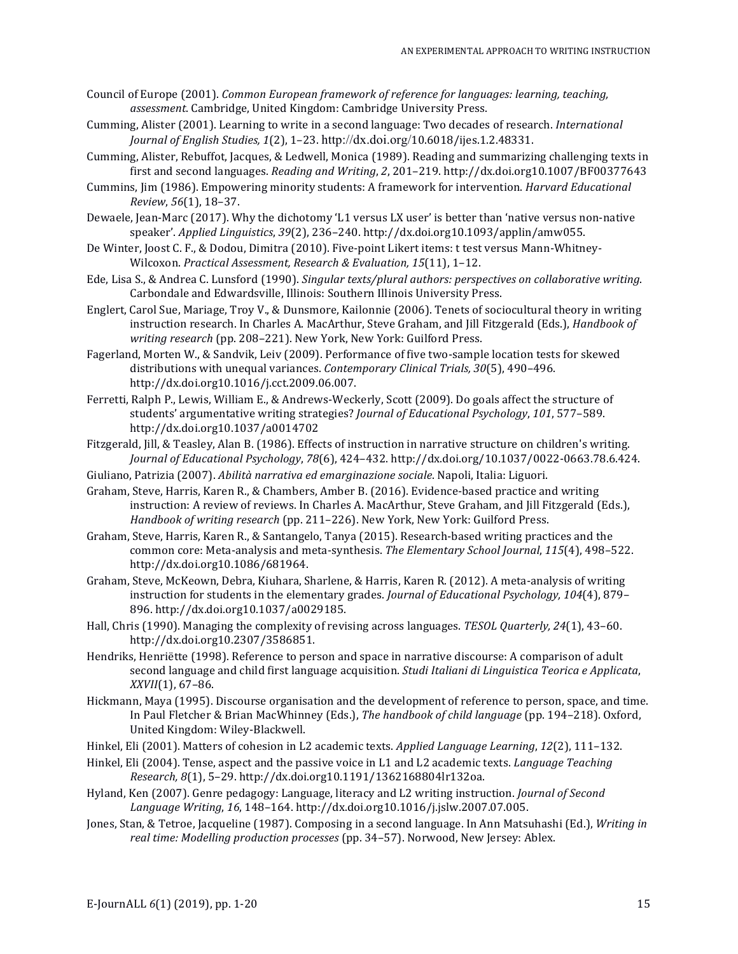- Council of Europe (2001). *Common European framework of reference for languages: learning, teaching, assessment*. Cambridge, United Kingdom: Cambridge University Press.
- Cumming, Alister (2001). Learning to write in a second language: Two decades of research. *International Journal of English Studies, 1*(2), 1–23. http://dx.doi.org/10.6018/ijes.1.2.48331.
- Cumming, Alister, Rebuffot, Jacques, & Ledwell, Monica (1989). Reading and summarizing challenging texts in first and second languages. *Reading and Writing*, 2, 201-219. http://dx.doi.org10.1007/BF00377643
- Cummins, Jim (1986). Empowering minority students: A framework for intervention. *Harvard Educational Review*, *56*(1), 18–37.
- Dewaele, Jean-Marc (2017). Why the dichotomy 'L1 versus LX user' is better than 'native versus non-native speaker'. *Applied Linguistics*, *39*(2), 236–240. http://dx.doi.org10.1093/applin/amw055.
- De Winter, Joost C. F., & Dodou, Dimitra (2010). Five-point Likert items: t test versus Mann-Whitney-Wilcoxon. *Practical Assessment, Research & Evaluation, 15*(11), 1-12.
- Ede, Lisa S., & Andrea C. Lunsford (1990). *Singular texts/plural authors: perspectives on collaborative writing*. Carbondale and Edwardsville, Illinois: Southern Illinois University Press.
- Englert, Carol Sue, Mariage, Troy V., & Dunsmore, Kailonnie (2006). Tenets of sociocultural theory in writing instruction research. In Charles A. MacArthur, Steve Graham, and Jill Fitzgerald (Eds.), *Handbook of* writing research (pp. 208-221). New York, New York: Guilford Press.
- Fagerland, Morten W., & Sandvik, Leiv (2009). Performance of five two-sample location tests for skewed distributions with unequal variances. *Contemporary Clinical Trials, 30*(5), 490-496. http://dx.doi.org10.1016/j.cct.2009.06.007.
- Ferretti, Ralph P., Lewis, William E., & Andrews-Weckerly, Scott (2009). Do goals affect the structure of students' argumentative writing strategies? *Journal of Educational Psychology*, 101, 577–589. http://dx.doi.org10.1037/a0014702
- Fitzgerald, Jill, & Teasley, Alan B. (1986). Effects of instruction in narrative structure on children's writing. *Journal of Educational Psychology*, *78*(6), 424–432. http://dx.doi.org/10.1037/0022-0663.78.6.424.
- Giuliano, Patrizia (2007). *Abilità narrativa ed emarginazione sociale*. Napoli, Italia: Liguori.
- Graham, Steve, Harris, Karen R., & Chambers, Amber B. (2016). Evidence-based practice and writing instruction: A review of reviews. In Charles A. MacArthur, Steve Graham, and Jill Fitzgerald (Eds.), *Handbook of writing research* (pp. 211–226). New York, New York: Guilford Press.
- Graham, Steve, Harris, Karen R., & Santangelo, Tanya (2015). Research-based writing practices and the common core: Meta-analysis and meta-synthesis. The Elementary School Journal, 115(4), 498-522. http://dx.doi.org10.1086/681964.
- Graham, Steve, McKeown, Debra, Kiuhara, Sharlene, & Harris, Karen R. (2012). A meta-analysis of writing instruction for students in the elementary grades. *Journal of Educational Psychology, 104*(4), 879– 896. http://dx.doi.org10.1037/a0029185.
- Hall, Chris (1990). Managing the complexity of revising across languages. *TESOL Quarterly, 24*(1), 43–60. http://dx.doi.org10.2307/3586851.
- Hendriks, Henriëtte (1998). Reference to person and space in narrative discourse: A comparison of adult second language and child first language acquisition. *Studi Italiani di Linguistica Teorica e Applicata*, *XXVII*(1), 67-86.
- Hickmann, Maya (1995). Discourse organisation and the development of reference to person, space, and time. In Paul Fletcher & Brian MacWhinney (Eds.), *The handbook of child language* (pp. 194–218). Oxford, United Kingdom: Wiley-Blackwell.
- Hinkel, Eli (2001). Matters of cohesion in L2 academic texts. Applied Language Learning, 12(2), 111-132.
- Hinkel, Eli (2004). Tense, aspect and the passive voice in L1 and L2 academic texts. *Language Teaching Research, 8*(1), 5–29. http://dx.doi.org10.1191/1362168804lr132oa.
- Hyland, Ken (2007). Genre pedagogy: Language, literacy and L2 writing instruction. *Journal of Second* Language Writing, 16, 148-164. http://dx.doi.org10.1016/j.jslw.2007.07.005.
- Jones, Stan, & Tetroe, Jacqueline (1987). Composing in a second language. In Ann Matsuhashi (Ed.), *Writing in real time: Modelling production processes* (pp. 34–57). Norwood, New Jersey: Ablex.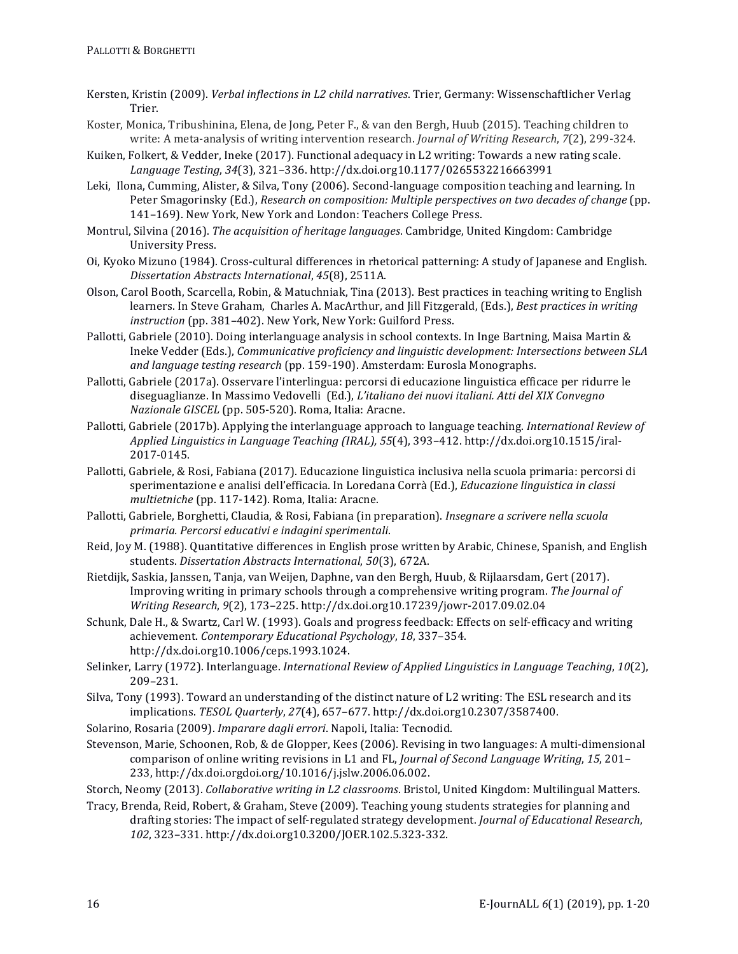- Kersten, Kristin (2009). *Verbal inflections in L2 child narratives*. Trier, Germany: Wissenschaftlicher Verlag Trier.
- Koster, Monica, Tribushinina, Elena, de Jong, Peter F., & van den Bergh, Huub (2015). Teaching children to write: A meta-analysis of writing intervention research. *Journal of Writing Research*, *7*(2), 299-324.
- Kuiken, Folkert, & Vedder, Ineke (2017). Functional adequacy in L2 writing: Towards a new rating scale. *Language Testing*, *34*(3), 321–336. http://dx.doi.org10.1177/0265532216663991
- Leki, Ilona, Cumming, Alister, & Silva, Tony (2006). Second-language composition teaching and learning. In Peter Smagorinsky (Ed.), *Research on composition: Multiple perspectives on two decades of change* (pp. 141–169). New York, New York and London: Teachers College Press.
- Montrul, Silvina (2016). *The acquisition of heritage languages*. Cambridge, United Kingdom: Cambridge University Press.
- Oi, Kyoko Mizuno (1984). Cross-cultural differences in rhetorical patterning: A study of Japanese and English. *Dissertation Abstracts International*, *45*(8), 2511A.
- Olson, Carol Booth, Scarcella, Robin, & Matuchniak, Tina (2013). Best practices in teaching writing to English learners. In Steve Graham, Charles A. MacArthur, and [ill Fitzgerald, (Eds.), *Best practices in writing* instruction (pp. 381-402). New York, New York: Guilford Press.
- Pallotti, Gabriele (2010). Doing interlanguage analysis in school contexts. In Inge Bartning, Maisa Martin & Ineke Vedder (Eds.), *Communicative proficiency and linguistic development: Intersections between SLA* and language testing research (pp. 159-190). Amsterdam: Eurosla Monographs.
- Pallotti, Gabriele (2017a). Osservare l'interlingua: percorsi di educazione linguistica efficace per ridurre le diseguaglianze. In Massimo Vedovelli (Ed.), *L'italiano dei nuovi italiani. Atti del XIX Convegno Nazionale GISCEL* (pp. 505-520). Roma, Italia: Aracne.
- Pallotti, Gabriele (2017b). Applying the interlanguage approach to language teaching. *International Review of Applied Linguistics in Language Teaching (IRAL), 55*(4), 393–412. http://dx.doi.org10.1515/iral-2017-0145.
- Pallotti, Gabriele, & Rosi, Fabiana (2017). Educazione linguistica inclusiva nella scuola primaria: percorsi di sperimentazione e analisi dell'efficacia. In Loredana Corrà (Ed.), *Educazione linguistica in classi* multietniche (pp. 117-142). Roma, Italia: Aracne.
- Pallotti, Gabriele, Borghetti, Claudia, & Rosi, Fabiana (in preparation). *Insegnare a scrivere nella scuola primaria. Percorsi educativi e indagini sperimentali*.
- Reid, Joy M. (1988). Quantitative differences in English prose written by Arabic, Chinese, Spanish, and English students. *Dissertation Abstracts International*, 50(3), 672A.
- Rietdijk, Saskia, Janssen, Tanja, van Weijen, Daphne, van den Bergh, Huub, & Rijlaarsdam, Gert (2017). Improving writing in primary schools through a comprehensive writing program. *The Journal of Writing Research*, *9*(2), 173–225. http://dx.doi.org10.17239/jowr-2017.09.02.04
- Schunk, Dale H., & Swartz, Carl W. (1993). Goals and progress feedback: Effects on self-efficacy and writing achievement. Contemporary Educational Psychology, 18, 337-354. http://dx.doi.org10.1006/ceps.1993.1024.
- Selinker, Larry (1972). Interlanguage. *International Review of Applied Linguistics in Language Teaching*, 10(2), 209–231.
- Silva, Tony (1993). Toward an understanding of the distinct nature of L2 writing: The ESL research and its implications. *TESOL Quarterly*, *27*(4), 657–677. http://dx.doi.org10.2307/3587400.
- Solarino, Rosaria (2009). *Imparare dagli errori*. Napoli, Italia: Tecnodid.
- Stevenson, Marie, Schoonen, Rob, & de Glopper, Kees (2006). Revising in two languages: A multi-dimensional comparison of online writing revisions in L1 and FL, *Journal of Second Language Writing*, 15, 201– 233, http://dx.doi.orgdoi.org/10.1016/j.jslw.2006.06.002.
- Storch, Neomy (2013). *Collaborative writing in L2 classrooms*. Bristol, United Kingdom: Multilingual Matters.
- Tracy, Brenda, Reid, Robert, & Graham, Steve (2009). Teaching young students strategies for planning and drafting stories: The impact of self-regulated strategy development. *Journal of Educational Research*, *102*, 323–331. http://dx.doi.org10.3200/JOER.102.5.323-332.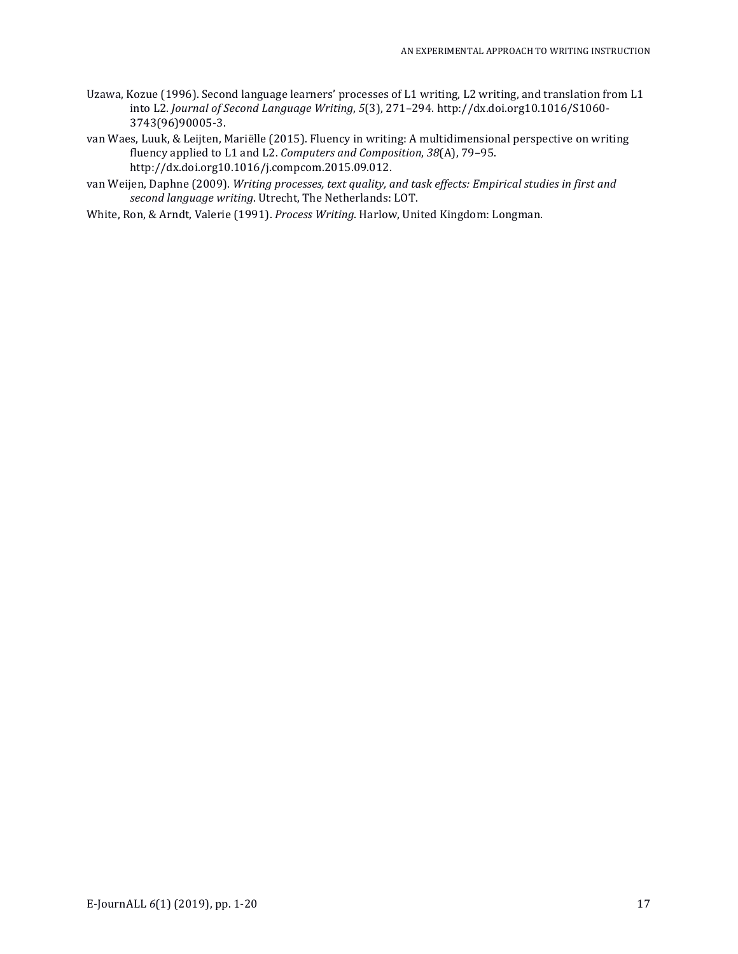- Uzawa, Kozue (1996). Second language learners' processes of L1 writing, L2 writing, and translation from L1 into L2. *Journal of Second Language Writing*, *5*(3), 271–294. http://dx.doi.org10.1016/S1060- 3743(96)90005-3.
- van Waes, Luuk, & Leijten, Mariëlle (2015). Fluency in writing: A multidimensional perspective on writing fluency applied to L1 and L2. *Computers and Composition*, 38(A), 79-95. http://dx.doi.org10.1016/j.compcom.2015.09.012.
- van Weijen, Daphne (2009). Writing processes, text quality, and task effects: Empirical studies in first and second language writing. Utrecht, The Netherlands: LOT.
- White, Ron, & Arndt, Valerie (1991). *Process Writing*. Harlow, United Kingdom: Longman.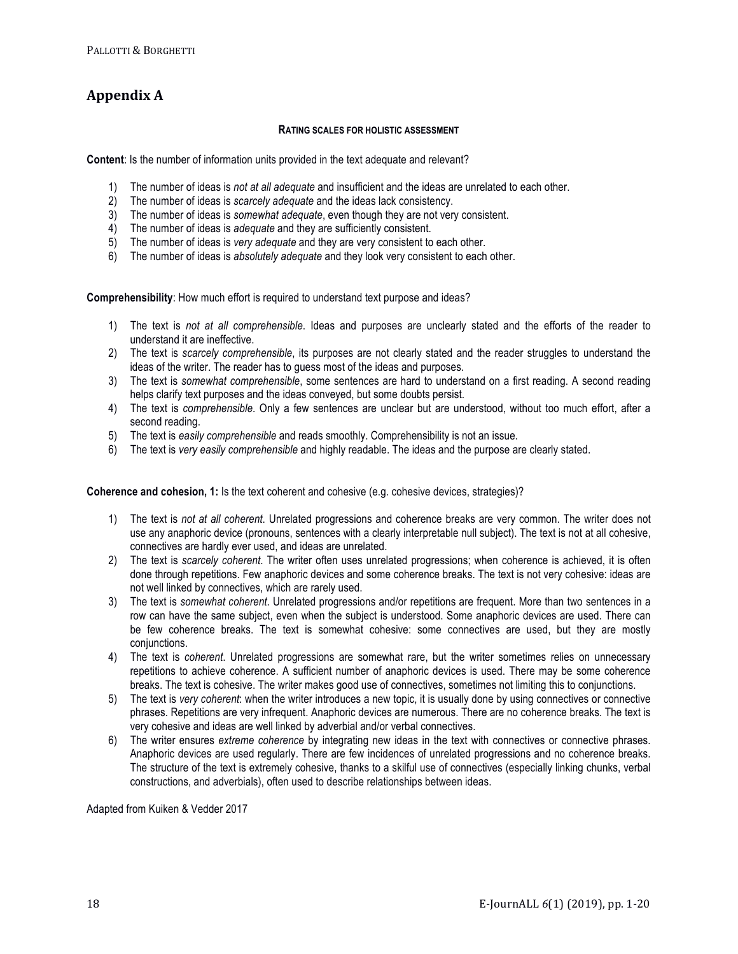# **Appendix A**

## **RATING SCALES FOR HOLISTIC ASSESSMENT**

**Content**: Is the number of information units provided in the text adequate and relevant?

- 1) The number of ideas is *not at all adequate* and insufficient and the ideas are unrelated to each other.
- 2) The number of ideas is *scarcely adequate* and the ideas lack consistency.
- 3) The number of ideas is *somewhat adequate*, even though they are not very consistent.
- 4) The number of ideas is *adequate* and they are sufficiently consistent.
- 5) The number of ideas is *very adequate* and they are very consistent to each other.
- 6) The number of ideas is *absolutely adequate* and they look very consistent to each other.

**Comprehensibility**: How much effort is required to understand text purpose and ideas?

- 1) The text is *not at all comprehensible*. Ideas and purposes are unclearly stated and the efforts of the reader to understand it are ineffective.
- 2) The text is *scarcely comprehensible*, its purposes are not clearly stated and the reader struggles to understand the ideas of the writer. The reader has to guess most of the ideas and purposes.
- 3) The text is *somewhat comprehensible*, some sentences are hard to understand on a first reading. A second reading helps clarify text purposes and the ideas conveyed, but some doubts persist.
- 4) The text is *comprehensible*. Only a few sentences are unclear but are understood, without too much effort, after a second reading.
- 5) The text is *easily comprehensible* and reads smoothly. Comprehensibility is not an issue.
- 6) The text is *very easily comprehensible* and highly readable. The ideas and the purpose are clearly stated.

**Coherence and cohesion, 1:** Is the text coherent and cohesive (e.g. cohesive devices, strategies)?

- 1) The text is *not at all coherent*. Unrelated progressions and coherence breaks are very common. The writer does not use any anaphoric device (pronouns, sentences with a clearly interpretable null subject). The text is not at all cohesive, connectives are hardly ever used, and ideas are unrelated.
- 2) The text is *scarcely coherent*. The writer often uses unrelated progressions; when coherence is achieved, it is often done through repetitions. Few anaphoric devices and some coherence breaks. The text is not very cohesive: ideas are not well linked by connectives, which are rarely used.
- 3) The text is *somewhat coherent*. Unrelated progressions and/or repetitions are frequent. More than two sentences in a row can have the same subject, even when the subject is understood. Some anaphoric devices are used. There can be few coherence breaks. The text is somewhat cohesive: some connectives are used, but they are mostly conjunctions.
- 4) The text is *coherent*. Unrelated progressions are somewhat rare, but the writer sometimes relies on unnecessary repetitions to achieve coherence. A sufficient number of anaphoric devices is used. There may be some coherence breaks. The text is cohesive. The writer makes good use of connectives, sometimes not limiting this to conjunctions.
- 5) The text is *very coherent*: when the writer introduces a new topic, it is usually done by using connectives or connective phrases. Repetitions are very infrequent. Anaphoric devices are numerous. There are no coherence breaks. The text is very cohesive and ideas are well linked by adverbial and/or verbal connectives.
- 6) The writer ensures *extreme coherence* by integrating new ideas in the text with connectives or connective phrases. Anaphoric devices are used regularly. There are few incidences of unrelated progressions and no coherence breaks. The structure of the text is extremely cohesive, thanks to a skilful use of connectives (especially linking chunks, verbal constructions, and adverbials), often used to describe relationships between ideas.

Adapted from Kuiken & Vedder 2017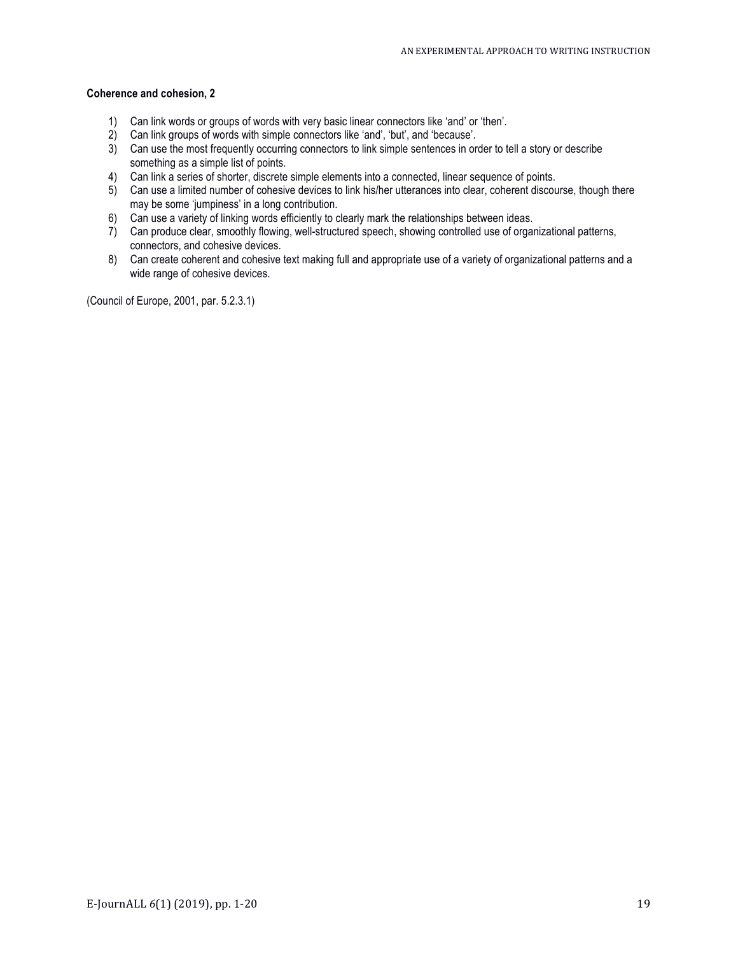## **Coherence and cohesion, 2**

- 1) Can link words or groups of words with very basic linear connectors like 'and' or 'then'.
- 2) Can link groups of words with simple connectors like 'and', 'but', and 'because'.
- 3) Can use the most frequently occurring connectors to link simple sentences in order to tell a story or describe something as a simple list of points.
- 4) Can link a series of shorter, discrete simple elements into a connected, linear sequence of points.
- 5) Can use a limited number of cohesive devices to link his/her utterances into clear, coherent discourse, though there may be some 'jumpiness' in a long contribution.
- 6) Can use a variety of linking words efficiently to clearly mark the relationships between ideas.
- 7) Can produce clear, smoothly flowing, well-structured speech, showing controlled use of organizational patterns, connectors, and cohesive devices.
- 8) Can create coherent and cohesive text making full and appropriate use of a variety of organizational patterns and a wide range of cohesive devices.

(Council of Europe, 2001, par. 5.2.3.1)